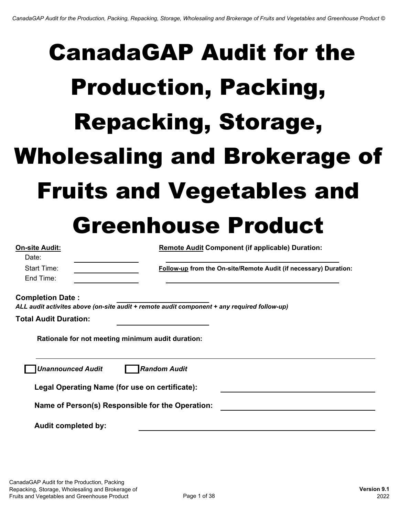| <b>On-site Audit:</b>        | <b>Remote Audit Component (if applicable) Duration:</b>                                     |
|------------------------------|---------------------------------------------------------------------------------------------|
| Date:                        |                                                                                             |
| <b>Start Time:</b>           | Follow-up from the On-site/Remote Audit (if necessary) Duration:                            |
| End Time:                    |                                                                                             |
| <b>Completion Date:</b>      | ALL audit activites above (on-site audit + remote audit component + any required follow-up) |
| <b>Total Audit Duration:</b> |                                                                                             |
|                              | Rationale for not meeting minimum audit duration:                                           |
| <b>Unannounced Audit</b>     | <b>Random Audit</b>                                                                         |
|                              | Legal Operating Name (for use on certificate):                                              |
|                              | Name of Person(s) Responsible for the Operation:                                            |
| <b>Audit completed by:</b>   |                                                                                             |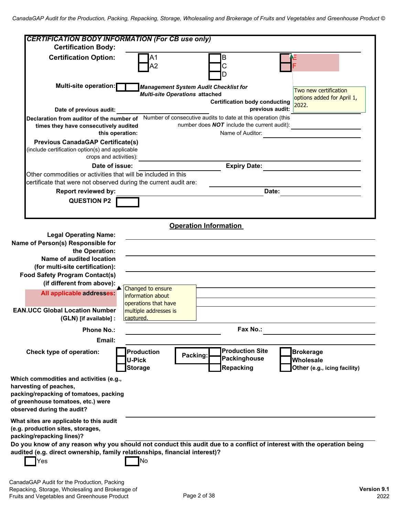| <b>CERTIFICATION BODY INFORMATION (For CB use only)</b>                                                                                                                         |                                                                                                                                                                                          |
|---------------------------------------------------------------------------------------------------------------------------------------------------------------------------------|------------------------------------------------------------------------------------------------------------------------------------------------------------------------------------------|
| <b>Certification Body:</b>                                                                                                                                                      |                                                                                                                                                                                          |
| <b>Certification Option:</b>                                                                                                                                                    | B                                                                                                                                                                                        |
| Multi-site operation:                                                                                                                                                           | <b>Management System Audit Checklist for</b>                                                                                                                                             |
|                                                                                                                                                                                 | Two new certification<br><b>Multi-site Operations attached</b>                                                                                                                           |
|                                                                                                                                                                                 | options added for April 1,<br><b>Certification body conducting</b><br>2022.                                                                                                              |
| Date of previous audit:                                                                                                                                                         | previous audit:                                                                                                                                                                          |
| Declaration from auditor of the number of<br>times they have consecutively audited<br>this operation:                                                                           | Number of consecutive audits to date at this operation (this<br>number does <b>NOT</b> include the current audit):<br>Name of Auditor:                                                   |
| <b>Previous CanadaGAP Certificate(s)</b><br>(include certification option(s) and applicable<br>crops and activities):                                                           |                                                                                                                                                                                          |
| Date of issue:                                                                                                                                                                  | <b>Expiry Date:</b>                                                                                                                                                                      |
| Other commodities or activities that will be included in this                                                                                                                   |                                                                                                                                                                                          |
| certificate that were not observed during the current audit are:                                                                                                                |                                                                                                                                                                                          |
| <b>Report reviewed by:</b>                                                                                                                                                      | Date:                                                                                                                                                                                    |
| <b>QUESTION P2</b>                                                                                                                                                              |                                                                                                                                                                                          |
|                                                                                                                                                                                 |                                                                                                                                                                                          |
|                                                                                                                                                                                 |                                                                                                                                                                                          |
|                                                                                                                                                                                 | <b>Operation Information</b>                                                                                                                                                             |
| <b>Legal Operating Name:</b>                                                                                                                                                    |                                                                                                                                                                                          |
| Name of Person(s) Responsible for<br>the Operation:                                                                                                                             |                                                                                                                                                                                          |
| Name of audited location                                                                                                                                                        |                                                                                                                                                                                          |
| (for multi-site certification):                                                                                                                                                 |                                                                                                                                                                                          |
| <b>Food Safety Program Contact(s)</b>                                                                                                                                           |                                                                                                                                                                                          |
| (if different from above):                                                                                                                                                      | Changed to ensure                                                                                                                                                                        |
| All applicable addresses:                                                                                                                                                       | information about                                                                                                                                                                        |
|                                                                                                                                                                                 | operations that have                                                                                                                                                                     |
| <b>EAN.UCC Global Location Number</b>                                                                                                                                           | multiple addresses is                                                                                                                                                                    |
| (GLN) [if available] :                                                                                                                                                          | captured.                                                                                                                                                                                |
| <b>Phone No.:</b>                                                                                                                                                               | Fax No.:                                                                                                                                                                                 |
| Email:                                                                                                                                                                          |                                                                                                                                                                                          |
| Check type of operation:                                                                                                                                                        | <b>Production Site</b><br><b>Production</b><br><b>Brokerage</b><br>Packing:<br>Packinghouse<br><b>U-Pick</b><br>Wholesale<br>Repacking<br><b>Storage</b><br>Other (e.g., icing facility) |
| Which commodities and activities (e.g.,<br>harvesting of peaches,<br>packing/repacking of tomatoes, packing<br>of greenhouse tomatoes, etc.) were<br>observed during the audit? |                                                                                                                                                                                          |
| What sites are applicable to this audit<br>(e.g. production sites, storages,<br>packing/repacking lines)?                                                                       |                                                                                                                                                                                          |
|                                                                                                                                                                                 | Do you know of any reason why you should not conduct this audit due to a conflict of interest with the operation being                                                                   |
| audited (e.g. direct ownership, family relationships, financial interest)?<br>Yes                                                                                               | No                                                                                                                                                                                       |
|                                                                                                                                                                                 |                                                                                                                                                                                          |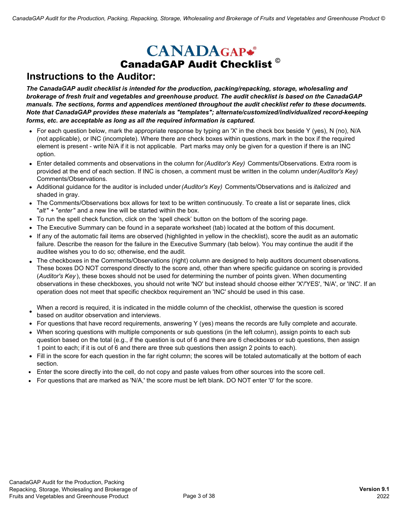## **CANADAGAP\*** CanadaGAP Audit Checklist **©**

### **Instructions to the Auditor:**

*The CanadaGAP audit checklist is intended for the production, packing/repacking, storage, wholesaling and brokerage of fresh fruit and vegetables and greenhouse product. The audit checklist is based on the CanadaGAP manuals. The sections, forms and appendices mentioned throughout the audit checklist refer to these documents. Note that CanadaGAP provides these materials as "templates"; alternate/customized/individualized record-keeping forms, etc. are acceptable as long as all the required information is captured.* 

- For each question below, mark the appropriate response by typing an 'X' in the check box beside Y (yes), N (no), N/A (not applicable), or INC (incomplete). Where there are check boxes within questions, mark in the box if the required element is present - write N/A if it is not applicable. Part marks may only be given for a question if there is an INC option.
- Enter detailed comments and observations in the column for *(Auditor's Key)* Comments/Observations. Extra room is provided at the end of each section. If INC is chosen, a comment must be written in the column under *(Auditor's Key)*  Comments/Observations.
- Additional guidance for the auditor is included under *(Auditor's Key)* Comments/Observations and is *italicized* and shaded in gray.
- The Comments/Observations box allows for text to be written continuously. To create a list or separate lines, click "*alt*" + "*enter*" and a new line will be started within the box.
- To run the spell check function, click on the 'spell check' button on the bottom of the scoring page.
- The Executive Summary can be found in a separate worksheet (tab) located at the bottom of this document.
- If any of the automatic fail items are observed (highlighted in yellow in the checklist), score the audit as an automatic failure. Describe the reason for the failure in the Executive Summary (tab below). You may continue the audit if the auditee wishes you to do so; otherwise, end the audit.
- The checkboxes in the Comments/Observations (right) column are designed to help auditors document observations. These boxes DO NOT correspond directly to the score and, other than where specific guidance on scoring is provided (*Auditor's Key* ), these boxes should not be used for determining the number of points given. When documenting observations in these checkboxes, you should not write 'NO' but instead should choose either 'X'/'YES', 'N/A', or 'INC'. If an operation does not meet that specific checkbox requirement an 'INC' should be used in this case.

When a record is required, it is indicated in the middle column of the checklist, otherwise the question is scored

- based on auditor observation and interviews.
- For questions that have record requirements, answering Y (yes) means the records are fully complete and accurate.
- When scoring questions with multiple components or sub questions (in the left column), assign points to each sub question based on the total (e.g., if the question is out of 6 and there are 6 checkboxes or sub questions, then assign 1 point to each; if it is out of 6 and there are three sub questions then assign 2 points to each).
- Fill in the score for each question in the far right column; the scores will be totaled automatically at the bottom of each section.
- Enter the score directly into the cell, do not copy and paste values from other sources into the score cell.
- For questions that are marked as 'N/A,' the score must be left blank. DO NOT enter '0' for the score.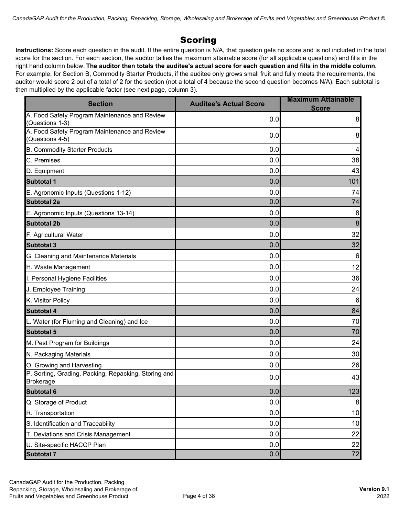#### **Scoring**

**Instructions:** Score each question in the audit. If the entire question is N/A, that question gets no score and is not included in the total score for the section. For each section, the auditor tallies the maximum attainable score (for all applicable questions) and fills in the right hand column below. **The auditor then totals the auditee's actual score for each question and fills in the middle column.**  For example, for Section B, Commodity Starter Products, if the auditee only grows small fruit and fully meets the requirements, the auditor would score 2 out of a total of 2 for the section (not a total of 4 because the second question becomes N/A). Each subtotal is then multiplied by the applicable factor (see next page, column 3).

| <b>Section</b>                                                           | <b>Auditee's Actual Score</b> | <b>Maximum Attainable</b><br><b>Score</b> |
|--------------------------------------------------------------------------|-------------------------------|-------------------------------------------|
| A. Food Safety Program Maintenance and Review<br>(Questions 1-3)         | 0.0                           | 8                                         |
| A. Food Safety Program Maintenance and Review<br>Questions 4-5)          | 0.0                           | 8                                         |
| <b>B. Commodity Starter Products</b>                                     | 0.0                           | 4                                         |
| C. Premises                                                              | 0.0                           | 38                                        |
| D. Equipment                                                             | 0.0                           | 43                                        |
| <b>Subtotal 1</b>                                                        | 0.0                           | 101                                       |
| E. Agronomic Inputs (Questions 1-12)                                     | 0.0                           | 74                                        |
| Subtotal 2a                                                              | 0.0                           | 74                                        |
| E. Agronomic Inputs (Questions 13-14)                                    | 0.0                           | $\,8\,$                                   |
| <b>Subtotal 2b</b>                                                       | 0.0                           | $\bf 8$                                   |
| F. Agricultural Water                                                    | 0.0                           | 32                                        |
| <b>Subtotal 3</b>                                                        | 0.0                           | 32                                        |
| G. Cleaning and Maintenance Materials                                    | 0.0                           | $\,6$                                     |
| H. Waste Management                                                      | 0.0                           | 12                                        |
| I. Personal Hygiene Facilities                                           | 0.0                           | 36                                        |
| J. Employee Training                                                     | 0.0                           | 24                                        |
| K. Visitor Policy                                                        | 0.0                           | $\,6$                                     |
| <b>Subtotal 4</b>                                                        | 0.0                           | 84                                        |
| L. Water (for Fluming and Cleaning) and Ice                              | 0.0                           | 70                                        |
| <b>Subtotal 5</b>                                                        | 0.0                           | 70                                        |
| M. Pest Program for Buildings                                            | 0.0                           | 24                                        |
| N. Packaging Materials                                                   | 0.0                           | 30                                        |
| O. Growing and Harvesting                                                | 0.0                           | 26                                        |
| P. Sorting, Grading, Packing, Repacking, Storing and<br><b>Brokerage</b> | 0.0                           | 43                                        |
| <b>Subtotal 6</b>                                                        | 0.0                           | 123                                       |
| Q. Storage of Product                                                    | 0.0                           | 8 <sup>1</sup>                            |
| R. Transportation                                                        | 0.0                           | 10                                        |
| S. Identification and Traceability                                       | 0.0                           | 10                                        |
| T. Deviations and Crisis Management                                      | 0.0                           | 22                                        |
| U. Site-specific HACCP Plan                                              | 0.0                           | 22                                        |
| <b>Subtotal 7</b>                                                        | 0.0                           | 72                                        |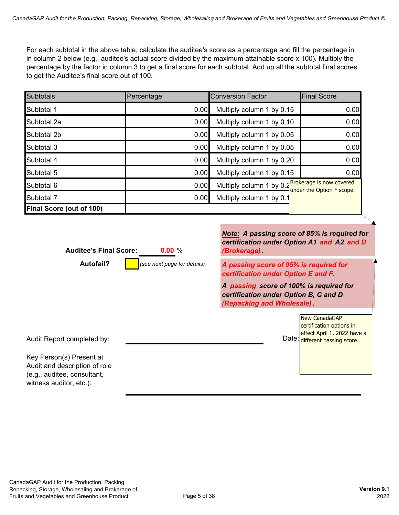For each subtotal in the above table, calculate the auditee's score as a percentage and fill the percentage in in column 2 below (e.g., auditee's actual score divided by the maximum attainable score x 100). Multiply the percentage by the factor in column 3 to get a final score for each subtotal. Add up all the subtotal final scores to get the Auditee's final score out of 100.

| <b>Subtotals</b>                | Percentage | <b>Conversion Factor</b>                          | <b>Final Score</b>        |
|---------------------------------|------------|---------------------------------------------------|---------------------------|
| Subtotal 1                      | 0.00       | Multiply column 1 by 0.15                         | 0.00                      |
| Subtotal 2a                     | 0.00       | Multiply column 1 by 0.10                         | 0.00                      |
| Subtotal 2b                     | 0.00       | Multiply column 1 by 0.05                         | 0.00                      |
| Subtotal 3                      | 0.00       | Multiply column 1 by 0.05                         | 0.00                      |
| Subtotal 4                      | 0.00       | Multiply column 1 by 0.20                         | 0.00                      |
| Subtotal 5                      | 0.00       | Multiply column 1 by 0.15                         | 0.00                      |
| Subtotal 6                      | 0.00       | Multiply column 1 by 0.2 Brokerage is now covered | under the Option F scope. |
| Subtotal 7                      | 0.00       | Multiply column 1 by 0.1                          |                           |
| <b>Final Score (out of 100)</b> |            |                                                   |                           |

| <b>Auditee's Final Score:</b><br>0.00%                                                                              | Note: A passing score of 85% is required for<br>certification under Option A1 and A2 and D-<br><del>(Brokerage)</del> . |
|---------------------------------------------------------------------------------------------------------------------|-------------------------------------------------------------------------------------------------------------------------|
| <b>Autofail?</b><br>(see next page for details)                                                                     | A passing score of 95% is required for<br>certification under Option E and F.                                           |
|                                                                                                                     | A passing score of 100% is required for<br>certification under Option B, C and D<br>(Repacking and Wholesale)           |
| Audit Report completed by:                                                                                          | <b>New CanadaGAP</b><br>certification options in<br>effect April 1, 2022 have a<br>Date: different passing score.       |
| Key Person(s) Present at<br>Audit and description of role<br>(e.g., auditee, consultant,<br>witness auditor, etc.): |                                                                                                                         |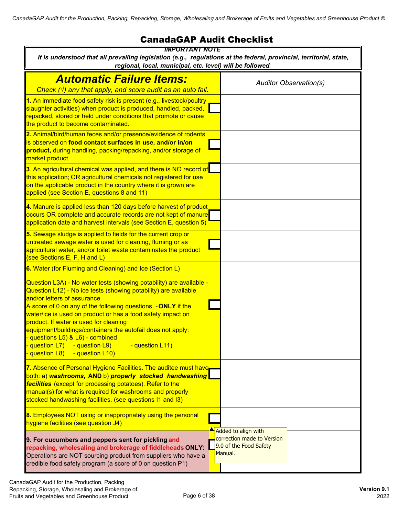#### CanadaGAP Audit Checklist

| <b>IMPORTANT NOTE</b>                                                                                                                                                                                                                                                                                                                                                                                                                                                                                                                                                                                     |                                                                 |
|-----------------------------------------------------------------------------------------------------------------------------------------------------------------------------------------------------------------------------------------------------------------------------------------------------------------------------------------------------------------------------------------------------------------------------------------------------------------------------------------------------------------------------------------------------------------------------------------------------------|-----------------------------------------------------------------|
| It is understood that all prevailing legislation (e.g., regulations at the federal, provincial, territorial, state,<br>regional, local, municipal, etc. level) will be followed.                                                                                                                                                                                                                                                                                                                                                                                                                          |                                                                 |
| <b>Automatic Failure Items:</b>                                                                                                                                                                                                                                                                                                                                                                                                                                                                                                                                                                           | <b>Auditor Observation(s)</b>                                   |
| Check $(\sqrt{})$ any that apply, and score audit as an auto fail.<br>1. An immediate food safety risk is present (e.g., livestock/poultry<br>slaughter activities) when product is produced, handled, packed,<br>repacked, stored or held under conditions that promote or cause<br>the product to become contaminated.                                                                                                                                                                                                                                                                                  |                                                                 |
| 2. Animal/bird/human feces and/or presence/evidence of rodents<br>is observed on food contact surfaces in use, and/or in/on<br>product, during handling, packing/repacking, and/or storage of<br>market product                                                                                                                                                                                                                                                                                                                                                                                           |                                                                 |
| 3. An agricultural chemical was applied, and there is NO record of<br>this application; OR agricultural chemicals not registered for use<br>on the applicable product in the country where it is grown are<br>applied (see Section E, questions 8 and 11)                                                                                                                                                                                                                                                                                                                                                 |                                                                 |
| 4. Manure is applied less than 120 days before harvest of product<br>occurs OR complete and accurate records are not kept of manure<br>application date and harvest intervals (see Section E, question 5)                                                                                                                                                                                                                                                                                                                                                                                                 |                                                                 |
| 5. Sewage sludge is applied to fields for the current crop or<br>untreated sewage water is used for cleaning, fluming or as<br>agricultural water, and/or toilet waste contaminates the product<br>(see Sections E, F, H and L)                                                                                                                                                                                                                                                                                                                                                                           |                                                                 |
| 6. Water (for Fluming and Cleaning) and Ice (Section L)<br>Question L3A) - No water tests (showing potability) are available -<br>Question L12) - No ice tests (showing potability) are available<br>and/or letters of assurance<br>A score of 0 on any of the following questions - ONLY if the<br>water/ice is used on product or has a food safety impact on<br>product. If water is used for cleaning<br>equipment/buildings/containers the autofail does not apply:<br>questions L5) & L6) - combined<br>guestion L7)<br>- question L9)<br>- question L11)<br><b>question L8)</b><br>- question L10) |                                                                 |
| 7. Absence of Personal Hygiene Facilities. The auditee must have<br>both: a) washrooms, AND b) properly stocked handwashing<br>facilities (except for processing potatoes). Refer to the<br>manual(s) for what is required for washrooms and properly<br>stocked handwashing facilities. (see questions I1 and I3)                                                                                                                                                                                                                                                                                        |                                                                 |
| 8. Employees NOT using or inappropriately using the personal<br>hygiene facilities (see question J4)                                                                                                                                                                                                                                                                                                                                                                                                                                                                                                      | Added to align with                                             |
| 9. For cucumbers and peppers sent for pickling and<br>repacking, wholesaling and brokerage of fiddleheads ONLY:<br>Operations are NOT sourcing product from suppliers who have a<br>credible food safety program (a score of 0 on question P1)                                                                                                                                                                                                                                                                                                                                                            | correction made to Version<br>9.0 of the Food Safety<br>Manual. |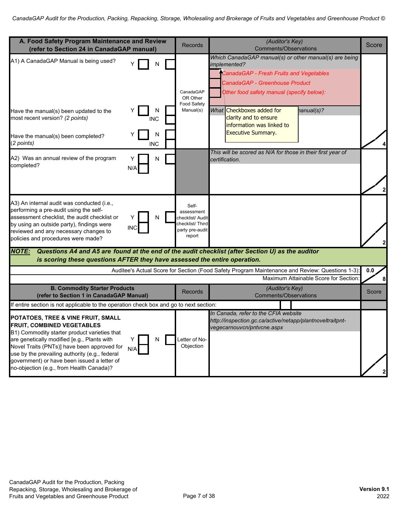| A. Food Safety Program Maintenance and Review<br>(refer to Section 24 in CanadaGAP manual)                                                                                                                                                                                                                                                                                          | <b>Records</b>                                                                          | (Auditor's Key)<br><b>Comments/Observations</b>                                                                                                                                                                                                                                                   | Score   |
|-------------------------------------------------------------------------------------------------------------------------------------------------------------------------------------------------------------------------------------------------------------------------------------------------------------------------------------------------------------------------------------|-----------------------------------------------------------------------------------------|---------------------------------------------------------------------------------------------------------------------------------------------------------------------------------------------------------------------------------------------------------------------------------------------------|---------|
| A1) A CanadaGAP Manual is being used?<br>N<br>Ν<br>Have the manual(s) been updated to the<br>most recent version? (2 points)<br><b>INC</b>                                                                                                                                                                                                                                          | CanadaGAP<br>OR Other<br>Food Safety<br>Manual(s)                                       | Which CanadaGAP manual(s) or other manual(s) are being<br>implemented?<br>CanadaGAP - Fresh Fruits and Vegetables<br>CanadaGAP - Greenhouse Product<br>Other food safety manual (specify below):<br>What Checkboxes added for<br>hanual(s)?<br>clarity and to ensure<br>information was linked to |         |
| N<br>Have the manual(s) been completed?<br>(2 points)<br><b>INC</b>                                                                                                                                                                                                                                                                                                                 |                                                                                         | <b>Executive Summary.</b>                                                                                                                                                                                                                                                                         |         |
| A2) Was an annual review of the program<br>N<br>completed?<br>N/A                                                                                                                                                                                                                                                                                                                   |                                                                                         | This will be scored as N/A for those in their first year of<br>certification.                                                                                                                                                                                                                     |         |
| A3) An internal audit was conducted (i.e.,<br>performing a pre-audit using the self-<br>assessment checklist, the audit checklist or<br>N<br>Y<br>by using an outside party), findings were<br><b>INC</b><br>reviewed and any necessary changes to<br>policies and procedures were made?                                                                                            | Self-<br>assessment<br>checklist/ Audit<br>checklist/Third<br>party pre-audit<br>report |                                                                                                                                                                                                                                                                                                   |         |
| Questions A4 and A5 are found at the end of the audit checklist (after Section U) as the auditor<br><b>NOTE:</b><br>is scoring these questions AFTER they have assessed the entire operation.                                                                                                                                                                                       |                                                                                         |                                                                                                                                                                                                                                                                                                   |         |
|                                                                                                                                                                                                                                                                                                                                                                                     |                                                                                         | Auditee's Actual Score for Section (Food Safety Program Maintenance and Review: Questions 1-3):<br>Maximum Attainable Score for Section                                                                                                                                                           | $0.0\,$ |
| <b>B. Commodity Starter Products</b><br>(refer to Section 1 in CanadaGAP Manual)                                                                                                                                                                                                                                                                                                    | <b>Records</b>                                                                          | (Auditor's Key)<br><b>Comments/Observations</b>                                                                                                                                                                                                                                                   | Score   |
| If entire section is not applicable to the operation check box and go to next section:                                                                                                                                                                                                                                                                                              |                                                                                         |                                                                                                                                                                                                                                                                                                   |         |
| POTATOES, TREE & VINE FRUIT, SMALL<br><b>FRUIT, COMBINED VEGETABLES</b><br>B1) Commodity starter product varieties that<br>are genetically modified [e.g., Plants with<br>Ν<br>Y<br>Novel Traits (PNTs)] have been approved for<br>N/A<br>use by the prevailing authority (e.g., federal<br>government) or have been issued a letter of<br>no-objection (e.g., from Health Canada)? | Letter of No-<br>Objection                                                              | In Canada, refer to the CFIA website<br>http://inspection.gc.ca/active/netapp/plantnoveltraitpnt-<br>vegecarnouvcn/pntvcne.aspx                                                                                                                                                                   |         |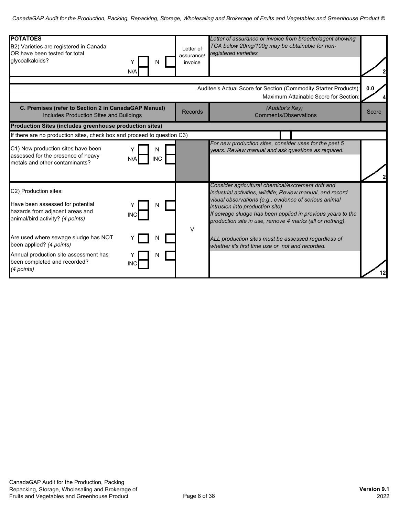| <b>POTATOES</b><br>B2) Varieties are registered in Canada<br>OR have been tested for total<br>glycoalkaloids?<br>N<br>N/A                                                                                                                                                                                           | Letter of<br>assurance/<br>invoice | Letter of assurance or invoice from breeder/agent showing<br>TGA below 20mg/100g may be obtainable for non-<br>registered varieties                                                                                                                                                                                                                                                                                                               |       |
|---------------------------------------------------------------------------------------------------------------------------------------------------------------------------------------------------------------------------------------------------------------------------------------------------------------------|------------------------------------|---------------------------------------------------------------------------------------------------------------------------------------------------------------------------------------------------------------------------------------------------------------------------------------------------------------------------------------------------------------------------------------------------------------------------------------------------|-------|
|                                                                                                                                                                                                                                                                                                                     |                                    | Auditee's Actual Score for Section (Commodity Starter Products):                                                                                                                                                                                                                                                                                                                                                                                  | 0.0   |
|                                                                                                                                                                                                                                                                                                                     |                                    | Maximum Attainable Score for Section:                                                                                                                                                                                                                                                                                                                                                                                                             |       |
| C. Premises (refer to Section 2 in CanadaGAP Manual)<br><b>Includes Production Sites and Buildings</b>                                                                                                                                                                                                              | <b>Records</b>                     | (Auditor's Key)<br><b>Comments/Observations</b>                                                                                                                                                                                                                                                                                                                                                                                                   | Score |
| Production Sites (includes greenhouse production sites)                                                                                                                                                                                                                                                             |                                    |                                                                                                                                                                                                                                                                                                                                                                                                                                                   |       |
| If there are no production sites, check box and proceed to question C3)                                                                                                                                                                                                                                             |                                    |                                                                                                                                                                                                                                                                                                                                                                                                                                                   |       |
| C1) New production sites have been<br>N<br>assessed for the presence of heavy<br><b>INC</b><br>N/A<br>metals and other contaminants?                                                                                                                                                                                |                                    | For new production sites, consider uses for the past 5<br>years. Review manual and ask questions as required.                                                                                                                                                                                                                                                                                                                                     |       |
| C2) Production sites:<br>Have been assessed for potential<br>N<br>hazards from adjacent areas and<br>INC<br>animal/bird activity? (4 points)<br>Are used where sewage sludge has NOT<br>been applied? (4 points)<br>Annual production site assessment has<br>N<br>been completed and recorded?<br>INC<br>(4 points) | V                                  | Consider agricultural chemical/excrement drift and<br>industrial activities, wildlife; Review manual, and record<br>visual observations (e.g., evidence of serious animal<br>intrusion into production site)<br>If sewage sludge has been applied in previous years to the<br>production site in use, remove 4 marks (all or nothing).<br>ALL production sites must be assessed regardless of<br>whether it's first time use or not and recorded. | 12    |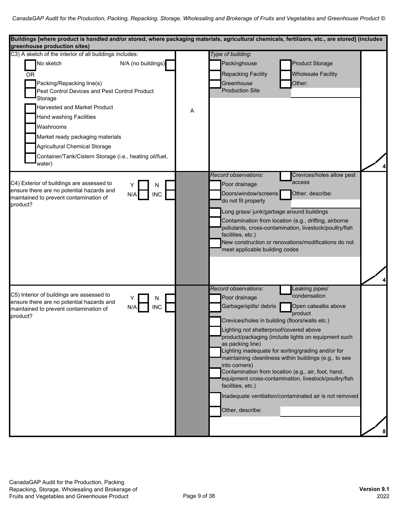| Buildings [where product is handled and/or stored, where packaging materials, agricultural chemicals, fertilizers, etc., are stored] (includes<br>greenhouse production sites)                                                                                                                                                                                               |   |                                                                                                                                                                                                                                            |                                                                                                                                                                                                                                                                                                                                                                                                                   |    |
|------------------------------------------------------------------------------------------------------------------------------------------------------------------------------------------------------------------------------------------------------------------------------------------------------------------------------------------------------------------------------|---|--------------------------------------------------------------------------------------------------------------------------------------------------------------------------------------------------------------------------------------------|-------------------------------------------------------------------------------------------------------------------------------------------------------------------------------------------------------------------------------------------------------------------------------------------------------------------------------------------------------------------------------------------------------------------|----|
| C3) A sketch of the interior of all buildings includes:                                                                                                                                                                                                                                                                                                                      |   | Type of building:                                                                                                                                                                                                                          |                                                                                                                                                                                                                                                                                                                                                                                                                   |    |
| N/A (no buildings)<br>No sketch<br><b>OR</b><br>Packing/Repacking line(s)<br>Pest Control Devices and Pest Control Product<br>Storage<br><b>Harvested and Market Product</b><br><b>Hand washing Facilities</b><br>Washrooms<br>Market ready packaging materials<br><b>Agricultural Chemical Storage</b><br>Container/Tank/Cistern Storage (i.e., heating oil/fuel,<br>water) | Α | Packinghouse<br><b>Repacking Facility</b><br>Greenhouse<br><b>Production Site</b>                                                                                                                                                          | <b>Product Storage</b><br><b>Wholesale Facility</b><br>Other:                                                                                                                                                                                                                                                                                                                                                     |    |
| C4) Exterior of buildings are assessed to<br>Ν<br>ensure there are no potential hazards and<br><b>INC</b><br>N/A<br>maintained to prevent contamination of<br>product?                                                                                                                                                                                                       |   | Record observations:<br>Poor drainage<br>Doors/window/screens<br>do not fit properly<br>Long grass/ junk/garbage around buildings<br>facilities, etc.)<br>meet applicable building codes                                                   | Crevices/holes allow pest<br>access<br>Other, describe:<br>Contamination from location (e.g., drifting, airborne<br>pollutants, cross-contamination, livestock/poultry/fish<br>New construction or renovations/modifications do not                                                                                                                                                                               | ا4 |
| C5) Interior of buildings are assessed to<br>N<br>ensure there are no potential hazards and<br><b>INC</b><br>N/A<br>maintained to prevent contamination of<br>product?                                                                                                                                                                                                       |   | Record observations:<br>Poor drainage<br>Garbage/spills/ debris<br>Crevices/holes in building (floors/walls etc.)<br>Lighting not shatterproof/covered above<br>as packing line)<br>into corners)<br>facilities, etc.)<br>Other, describe: | Leaking pipes/<br>condensation<br>Open catwalks above<br>product<br>product/packaging (include lights on equipment such<br>Lighting inadequate for sorting/grading and/or for<br>maintaining cleanliness within buildings (e.g., to see<br>Contamination from location (e.g., air, foot, hand,<br>equipment cross-contamination, livestock/poultry/fish<br>Inadequate ventilation/contaminated air is not removed |    |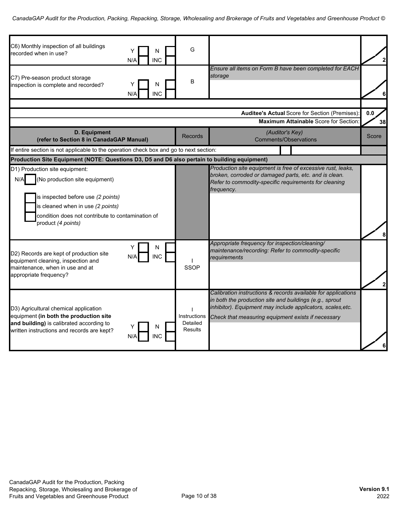| C6) Monthly inspection of all buildings<br>N<br>recorded when in use?<br><b>INC</b><br>N/A                                                                                                                                    | G                                          |                                                                                                                                                                                                                                               | $\mathbf{z}$ |
|-------------------------------------------------------------------------------------------------------------------------------------------------------------------------------------------------------------------------------|--------------------------------------------|-----------------------------------------------------------------------------------------------------------------------------------------------------------------------------------------------------------------------------------------------|--------------|
| C7) Pre-season product storage<br>N<br>inspection is complete and recorded?<br><b>INC</b><br>N/A                                                                                                                              | B                                          | Ensure all items on Form B have been completed for EACH<br>storage                                                                                                                                                                            | 6            |
|                                                                                                                                                                                                                               |                                            |                                                                                                                                                                                                                                               |              |
|                                                                                                                                                                                                                               |                                            | <b>Auditee's Actual Score for Section (Premises):</b>                                                                                                                                                                                         | 0.0          |
|                                                                                                                                                                                                                               |                                            | <b>Maximum Attainable Score for Section</b>                                                                                                                                                                                                   | 38           |
| <b>D.</b> Equipment<br>(refer to Section 8 in CanadaGAP Manual)                                                                                                                                                               | Records                                    | (Auditor's Key)<br><b>Comments/Observations</b>                                                                                                                                                                                               | Score        |
| If entire section is not applicable to the operation check box and go to next section:                                                                                                                                        |                                            |                                                                                                                                                                                                                                               |              |
| Production Site Equipment (NOTE: Questions D3, D5 and D6 also pertain to building equipment)                                                                                                                                  |                                            |                                                                                                                                                                                                                                               |              |
| D1) Production site equipment:<br>(No production site equipment)<br>N/A<br>is inspected before use (2 points)<br>is cleaned when in use (2 points)<br>condition does not contribute to contamination of<br>product (4 points) |                                            | Production site equipment is free of excessive rust, leaks,<br>broken, corroded or damaged parts, etc. and is clean.<br>Refer to commodity-specific requirements for cleaning<br>frequency.                                                   |              |
| N<br>Y<br>D2) Records are kept of production site<br><b>INC</b><br>N/A<br>equipment cleaning, inspection and<br>maintenance, when in use and at<br>appropriate frequency?                                                     | <b>SSOP</b>                                | Appropriate frequency for inspection/cleaning/<br>maintenance/recording: Refer to commodity-specific<br>requirements                                                                                                                          | 2            |
| D3) Agricultural chemical application<br>equipment (in both the production site<br>and building) is calibrated according to<br>written instructions and records are kept?<br>NC.                                              | Instructions<br>Detailed<br><b>Results</b> | Calibration instructions & records available for applications<br>in both the production site and buildings (e.g., sprout<br>inhibitor). Equipment may include applicators, scales, etc.<br>Check that measuring equipment exists if necessary |              |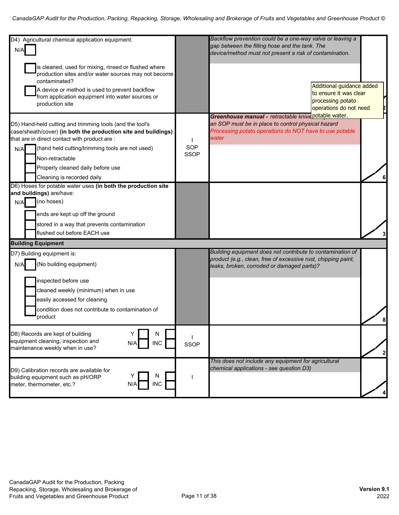| D4) Agricultural chemical application equipment:                      |                    | Backflow prevention could be a one-way valve or leaving a                                                   |                |
|-----------------------------------------------------------------------|--------------------|-------------------------------------------------------------------------------------------------------------|----------------|
| N/A                                                                   |                    | gap between the filling hose and the tank. The<br>device/method must not present a risk of contamination.   |                |
|                                                                       |                    |                                                                                                             |                |
| is cleaned, used for mixing, rinsed or flushed where                  |                    |                                                                                                             |                |
| production sites and/or water sources may not become<br>contaminated? |                    |                                                                                                             |                |
| A device or method is used to prevent backflow                        |                    | Additional guidance added                                                                                   |                |
| from application equipment into water sources or                      |                    | to ensure it was clear                                                                                      |                |
| production site                                                       |                    | processing potato<br>operations do not need                                                                 |                |
|                                                                       |                    | Greenhouse manual - retractable knive potable water.                                                        |                |
| D5) Hand-held cutting and trimming tools (and the tool's              |                    | an SOP must be in place to control physical hazard                                                          |                |
| case/sheath/cover) (in both the production site and buildings)        |                    | Processing potato operations do NOT have to use potable                                                     |                |
| that are in direct contact with product are :                         |                    | water                                                                                                       |                |
| (hand held cutting/trimming tools are not used)<br>N/A                | SOP<br><b>SSOP</b> |                                                                                                             |                |
| Non-retractable                                                       |                    |                                                                                                             |                |
| Properly cleaned daily before use                                     |                    |                                                                                                             |                |
| Cleaning is recorded daily                                            |                    |                                                                                                             |                |
| D6) Hoses for potable water uses (in both the production site         |                    |                                                                                                             |                |
| and buildings) are/have:                                              |                    |                                                                                                             |                |
| (no hoses)<br>N/A                                                     |                    |                                                                                                             |                |
| ends are kept up off the ground                                       |                    |                                                                                                             |                |
| stored in a way that prevents contamination                           |                    |                                                                                                             |                |
| flushed out before EACH use                                           |                    |                                                                                                             |                |
| <b>Building Equipment</b>                                             |                    |                                                                                                             |                |
| D7) Building equipment is:                                            |                    | Building equipment does not contribute to contamination of                                                  |                |
| (No building equipment)<br>N/A                                        |                    | product (e.g., clean, free of excessive rust, chipping paint,<br>leaks, broken, corroded or damaged parts)? |                |
| inspected before use                                                  |                    |                                                                                                             |                |
| cleaned weekly (minimum) when in use                                  |                    |                                                                                                             |                |
| easily accessed for cleaning                                          |                    |                                                                                                             |                |
| condition does not contribute to contamination of                     |                    |                                                                                                             |                |
| product                                                               |                    |                                                                                                             |                |
| D8) Records are kept of building<br>N                                 |                    |                                                                                                             |                |
| equipment cleaning, inspection and<br><b>INC</b><br>N/A               | <b>SSOP</b>        |                                                                                                             |                |
| maintenance weekly when in use?                                       |                    |                                                                                                             | $\overline{2}$ |
|                                                                       |                    | This does not include any equipment for agricultural                                                        |                |
| D9) Calibration records are available for                             |                    | chemical applications - see question D3)                                                                    |                |
| N<br>building equipment such as pH/ORP                                |                    |                                                                                                             |                |
| <b>INC</b><br>meter, thermometer, etc.?<br>N/A                        |                    |                                                                                                             |                |
|                                                                       |                    |                                                                                                             |                |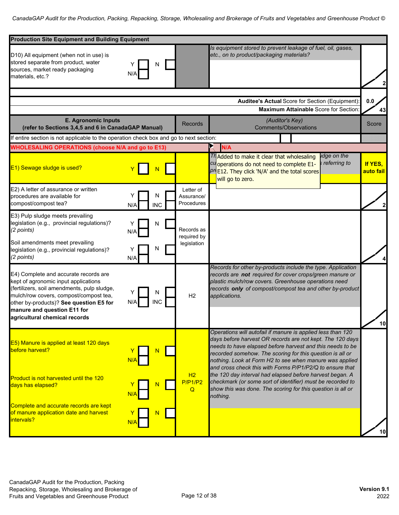| <b>Production Site Equipment and Building Equipment</b>                                                                                                                                                                                                                           |                 |                 |                                          |                                                                                                                                                                                                                                                                                                                                                                                                                                                                                                                                                                                |                      |
|-----------------------------------------------------------------------------------------------------------------------------------------------------------------------------------------------------------------------------------------------------------------------------------|-----------------|-----------------|------------------------------------------|--------------------------------------------------------------------------------------------------------------------------------------------------------------------------------------------------------------------------------------------------------------------------------------------------------------------------------------------------------------------------------------------------------------------------------------------------------------------------------------------------------------------------------------------------------------------------------|----------------------|
| D10) All equipment (when not in use) is<br>stored separate from product, water<br>sources, market ready packaging<br>materials, etc.?                                                                                                                                             | N/A             | N               |                                          | Is equipment stored to prevent leakage of fuel, oil, gases,<br>etc., on to product/packaging materials?                                                                                                                                                                                                                                                                                                                                                                                                                                                                        |                      |
|                                                                                                                                                                                                                                                                                   |                 |                 |                                          |                                                                                                                                                                                                                                                                                                                                                                                                                                                                                                                                                                                |                      |
|                                                                                                                                                                                                                                                                                   |                 |                 |                                          | Auditee's Actual Score for Section (Equipment):<br><b>Maximum Attainable Score for Section</b>                                                                                                                                                                                                                                                                                                                                                                                                                                                                                 | 0.0<br>43            |
| <b>E. Agronomic Inputs</b><br>(refer to Sections 3,4,5 and 6 in CanadaGAP Manual)                                                                                                                                                                                                 |                 |                 | <b>Records</b>                           | (Auditor's Key)<br><b>Comments/Observations</b>                                                                                                                                                                                                                                                                                                                                                                                                                                                                                                                                | Score                |
| If entire section is not applicable to the operation check box and go to next section:                                                                                                                                                                                            |                 |                 |                                          |                                                                                                                                                                                                                                                                                                                                                                                                                                                                                                                                                                                |                      |
| <b>WHOLESALING OPERATIONS (choose N/A and go to E13)</b>                                                                                                                                                                                                                          |                 |                 |                                          | N/A                                                                                                                                                                                                                                                                                                                                                                                                                                                                                                                                                                            |                      |
| E1) Sewage sludge is used?                                                                                                                                                                                                                                                        |                 |                 |                                          | idge on the<br>Th Added to make it clear that wholesaling<br>referring to<br>cuoperations do not need to complete E1-<br>$PT$ E12. They click 'N/A' and the total scores<br>will go to zero.                                                                                                                                                                                                                                                                                                                                                                                   | If YES,<br>auto fail |
| E2) A letter of assurance or written<br>procedures are available for<br>compost/compost tea?                                                                                                                                                                                      | Y<br>N/A        | N<br><b>INC</b> | Letter of<br>Assurance/<br>Procedures    |                                                                                                                                                                                                                                                                                                                                                                                                                                                                                                                                                                                | $\mathbf{z}$         |
| E3) Pulp sludge meets prevailing<br>legislation (e.g., provincial regulations)?<br>(2 points)<br>Soil amendments meet prevailing<br>legislation (e.g., provincial regulations)?<br>(2 points)                                                                                     | Y<br>N/A<br>N/A | N<br>N          | Records as<br>required by<br>legislation |                                                                                                                                                                                                                                                                                                                                                                                                                                                                                                                                                                                |                      |
| E4) Complete and accurate records are<br>kept of agronomic input applications<br>(fertilizers, soil amendments, pulp sludge,<br>mulch/row covers, compost/compost tea,<br>other by-products)? See question E5 for<br>manure and question E11 for<br>agricultural chemical records | N/A             | N<br><b>INC</b> | H2                                       | Records for other by-products include the type. Application<br>records are not required for cover crops/green manure or<br>plastic mulch/row covers. Greenhouse operations need<br>records only of compost/compost tea and other by-product<br>applications.                                                                                                                                                                                                                                                                                                                   |                      |
| E5) Manure is applied at least 120 days<br>before harvest?<br>Product is not harvested until the 120<br>days has elapsed?<br>Complete and accurate records are kept<br>of manure application date and harvest<br>intervals?                                                       | N/A             |                 | H2<br>P/P1/P2<br>$\mathsf Q$             | Operations will autofail if manure is applied less than 120<br>days before harvest OR records are not kept. The 120 days<br>needs to have elapsed before harvest and this needs to be<br>recorded somehow. The scoring for this question is all or<br>nothing. Look at Form H2 to see when manure was applied<br>and cross check this with Forms P/P1/P2/Q to ensure that<br>the 120 day interval had elapsed before harvest began. A<br>checkmark (or some sort of identifier) must be recorded to<br>show this was done. The scoring for this question is all or<br>nothing. |                      |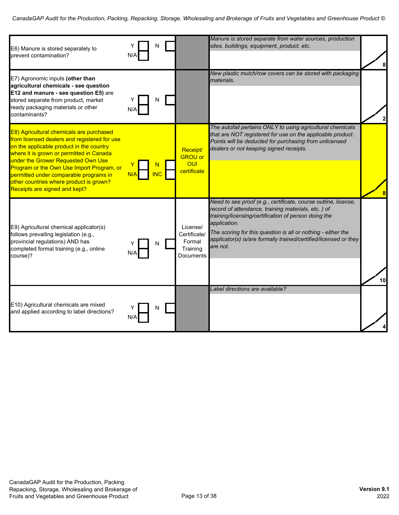| E6) Manure is stored separately to<br>prevent contamination?                                                                                                                                                                                                                                                                                                                              | N/A |            |                                                             | Manure is stored separate from water sources, production<br>sites, buildings, equipment, product, etc.                                                                                                                                                                                                                                       |    |
|-------------------------------------------------------------------------------------------------------------------------------------------------------------------------------------------------------------------------------------------------------------------------------------------------------------------------------------------------------------------------------------------|-----|------------|-------------------------------------------------------------|----------------------------------------------------------------------------------------------------------------------------------------------------------------------------------------------------------------------------------------------------------------------------------------------------------------------------------------------|----|
| E7) Agronomic inputs (other than<br>agricultural chemicals - see question<br>E12 and manure - see question E5) are<br>stored separate from product, market<br>ready packaging materials or other<br>contaminants?                                                                                                                                                                         | N/A |            |                                                             | New plastic mulch/row covers can be stored with packaging<br>materials.                                                                                                                                                                                                                                                                      |    |
| E8) Agricultural chemicals are purchased<br>from licensed dealers and registered for use<br>on the applicable product in the country<br>where it is grown or permitted in Canada<br>under the Grower Requested Own Use<br>Program or the Own Use Import Program, or<br>permitted under comparable programs in<br>other countries where product is grown?<br>Receipts are signed and kept? | N/A | <b>INC</b> | Receipt/<br><b>GROU or</b><br>OUI<br>certificate            | The autofail pertains ONLY to using agricultural chemicals<br>that are NOT registered for use on the applicable product.<br>Points will be deducted for purchasing from unlicensed<br>dealers or not keeping signed receipts.                                                                                                                | 8  |
| E9) Agricultural chemical applicator(s)<br>follows prevailing legislation (e.g.,<br>provincial regulations) AND has<br>completed formal training (e.g., online<br>course)?                                                                                                                                                                                                                |     |            | License/<br>Certificate/<br>Formal<br>Training<br>Documents | Need to see proof (e.g., certificate, course outline, license,<br>record of attendance, training materials, etc.) of<br>training/licensing/certification of person doing the<br>application.<br>The scoring for this question is all or nothing - either the<br>applicator(s) is/are formally trained/certified/licensed or they<br>are not. | 10 |
| E10) Agricultural chemicals are mixed<br>and applied according to label directions?                                                                                                                                                                                                                                                                                                       | N/A | N          |                                                             | Label directions are available?                                                                                                                                                                                                                                                                                                              |    |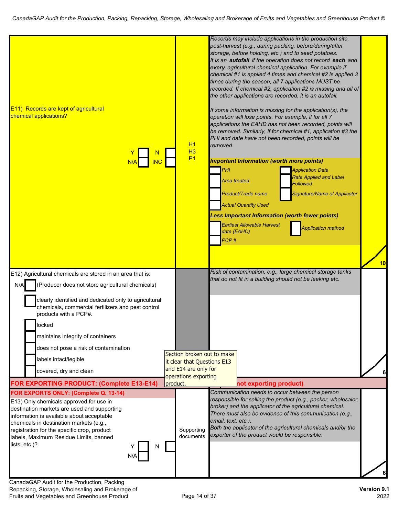| E11) Records are kept of agricultural<br>chemical applications?                                                                                                                                                                                                                                                                               |          | H1<br>H3                                     | removed.                                          | operation will lose points. For example, if for all 7                                                                                      | Records may include applications in the production site,<br>post-harvest (e.g., during packing, before/during/after<br>storage, before holding, etc.) and to seed potatoes.<br>It is an autofail if the operation does not record each and<br>every agricultural chemical application. For example if<br>chemical #1 is applied 4 times and chemical #2 is applied 3<br>times during the season, all 7 applications MUST be<br>recorded. If chemical #2, application #2 is missing and all of<br>the other applications are recorded, it is an autofail.<br>If some information is missing for the application(s), the<br>applications the EAHD has not been recorded, points will<br>be removed. Similarly, if for chemical #1, application #3 the<br>PHI and date have not been recorded, points will be |    |
|-----------------------------------------------------------------------------------------------------------------------------------------------------------------------------------------------------------------------------------------------------------------------------------------------------------------------------------------------|----------|----------------------------------------------|---------------------------------------------------|--------------------------------------------------------------------------------------------------------------------------------------------|------------------------------------------------------------------------------------------------------------------------------------------------------------------------------------------------------------------------------------------------------------------------------------------------------------------------------------------------------------------------------------------------------------------------------------------------------------------------------------------------------------------------------------------------------------------------------------------------------------------------------------------------------------------------------------------------------------------------------------------------------------------------------------------------------------|----|
| <b>INC</b>                                                                                                                                                                                                                                                                                                                                    |          | P <sub>1</sub>                               | PHI<br><b>Area treated</b><br>date (EAHD)<br>PCP# | <b>Important Information (worth more points)</b><br>Product/Trade name<br><b>Actual Quantity Used</b><br><b>Earliest Allowable Harvest</b> | <b>Application Date</b><br><b>Rate Applied and Label</b><br><b>Followed</b><br>Signature/Name of Applicator<br><b>Less Important Information (worth fewer points)</b><br><b>Application method</b>                                                                                                                                                                                                                                                                                                                                                                                                                                                                                                                                                                                                         | 10 |
| E12) Agricultural chemicals are stored in an area that is:                                                                                                                                                                                                                                                                                    |          |                                              |                                                   |                                                                                                                                            | Risk of contamination: e.g., large chemical storage tanks<br>that do not fit in a building should not be leaking etc.                                                                                                                                                                                                                                                                                                                                                                                                                                                                                                                                                                                                                                                                                      |    |
| (Producer does not store agricultural chemicals)<br>N/A                                                                                                                                                                                                                                                                                       |          |                                              |                                                   |                                                                                                                                            |                                                                                                                                                                                                                                                                                                                                                                                                                                                                                                                                                                                                                                                                                                                                                                                                            |    |
| clearly identified and dedicated only to agricultural<br>chemicals, commercial fertilizers and pest control<br>products with a PCP#.                                                                                                                                                                                                          |          |                                              |                                                   |                                                                                                                                            |                                                                                                                                                                                                                                                                                                                                                                                                                                                                                                                                                                                                                                                                                                                                                                                                            |    |
| locked                                                                                                                                                                                                                                                                                                                                        |          |                                              |                                                   |                                                                                                                                            |                                                                                                                                                                                                                                                                                                                                                                                                                                                                                                                                                                                                                                                                                                                                                                                                            |    |
| maintains integrity of containers                                                                                                                                                                                                                                                                                                             |          |                                              |                                                   |                                                                                                                                            |                                                                                                                                                                                                                                                                                                                                                                                                                                                                                                                                                                                                                                                                                                                                                                                                            |    |
| does not pose a risk of contamination                                                                                                                                                                                                                                                                                                         |          | Section broken out to make                   |                                                   |                                                                                                                                            |                                                                                                                                                                                                                                                                                                                                                                                                                                                                                                                                                                                                                                                                                                                                                                                                            |    |
| labels intact/legible                                                                                                                                                                                                                                                                                                                         |          | it clear that Questions E13                  |                                                   |                                                                                                                                            |                                                                                                                                                                                                                                                                                                                                                                                                                                                                                                                                                                                                                                                                                                                                                                                                            |    |
| covered, dry and clean                                                                                                                                                                                                                                                                                                                        |          | and E14 are only for<br>operations exporting |                                                   |                                                                                                                                            |                                                                                                                                                                                                                                                                                                                                                                                                                                                                                                                                                                                                                                                                                                                                                                                                            |    |
| FOR EXPORTING PRODUCT: (Complete E13-E14)                                                                                                                                                                                                                                                                                                     | product. |                                              |                                                   | not exporting product)                                                                                                                     |                                                                                                                                                                                                                                                                                                                                                                                                                                                                                                                                                                                                                                                                                                                                                                                                            |    |
| FOR EXPORTS ONLY: (Complete Q. 13-14)<br>E13) Only chemicals approved for use in<br>destination markets are used and supporting<br>information is available about acceptable<br>chemicals in destination markets (e.g.,<br>registration for the specific crop, product<br>labels, Maximum Residue Limits, banned<br>lists, etc.)?<br>N<br>N/A |          | Supporting<br>documents                      | email, text, etc.).                               | exporter of the product would be responsible.                                                                                              | Communication needs to occur between the person<br>responsible for selling the product (e.g., packer, wholesaler,<br>broker) and the applicator of the agricultural chemical.<br>There must also be evidence of this communication (e.g.,<br>Both the applicator of the agricultural chemicals and/or the                                                                                                                                                                                                                                                                                                                                                                                                                                                                                                  |    |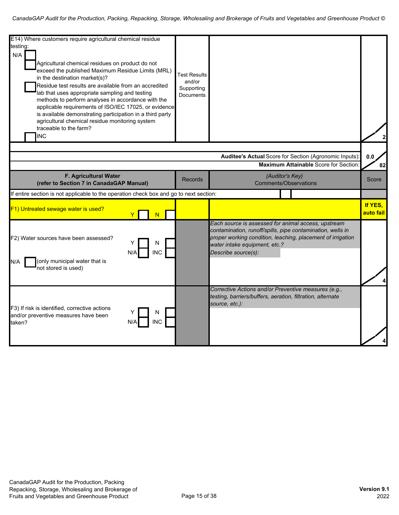| E14) Where customers require agricultural chemical residue                                                                                                                                                                                                                                                                                                                                                                                                                                                                      |                                                                 |                                                                                                                                                                                                                                          |                      |
|---------------------------------------------------------------------------------------------------------------------------------------------------------------------------------------------------------------------------------------------------------------------------------------------------------------------------------------------------------------------------------------------------------------------------------------------------------------------------------------------------------------------------------|-----------------------------------------------------------------|------------------------------------------------------------------------------------------------------------------------------------------------------------------------------------------------------------------------------------------|----------------------|
| testing:                                                                                                                                                                                                                                                                                                                                                                                                                                                                                                                        |                                                                 |                                                                                                                                                                                                                                          |                      |
| N/A<br>Agricultural chemical residues on product do not<br>exceed the published Maximum Residue Limits (MRL)<br>in the destination market(s)?<br>Residue test results are available from an accredited<br>lab that uses appropriate sampling and testing<br>methods to perform analyses in accordance with the<br>applicable requirements of ISO/IEC 17025, or evidence<br>is available demonstrating participation in a third party<br>agricultural chemical residue monitoring system<br>traceable to the farm?<br><b>INC</b> | <b>Test Results</b><br>and/or<br>Supporting<br><b>Documents</b> |                                                                                                                                                                                                                                          |                      |
|                                                                                                                                                                                                                                                                                                                                                                                                                                                                                                                                 |                                                                 |                                                                                                                                                                                                                                          |                      |
|                                                                                                                                                                                                                                                                                                                                                                                                                                                                                                                                 |                                                                 | Auditee's Actual Score for Section (Agronomic Inputs):                                                                                                                                                                                   | 0.0                  |
|                                                                                                                                                                                                                                                                                                                                                                                                                                                                                                                                 |                                                                 | Maximum Attainable Score for Section:                                                                                                                                                                                                    | 82                   |
| F. Agricultural Water                                                                                                                                                                                                                                                                                                                                                                                                                                                                                                           |                                                                 | (Auditor's Key)                                                                                                                                                                                                                          |                      |
| (refer to Section 7 in CanadaGAP Manual)                                                                                                                                                                                                                                                                                                                                                                                                                                                                                        | <b>Records</b>                                                  | <b>Comments/Observations</b>                                                                                                                                                                                                             | Score                |
| If entire section is not applicable to the operation check box and go to next section:                                                                                                                                                                                                                                                                                                                                                                                                                                          |                                                                 |                                                                                                                                                                                                                                          |                      |
| F1) Untreated sewage water is used?<br>N                                                                                                                                                                                                                                                                                                                                                                                                                                                                                        |                                                                 |                                                                                                                                                                                                                                          | If YES,<br>auto fail |
| F2) Water sources have been assessed?<br>N<br><b>INC</b><br>N/A<br>(only municipal water that is<br>N/A<br>not stored is used)                                                                                                                                                                                                                                                                                                                                                                                                  |                                                                 | Each source is assessed for animal access, upstream<br>contamination, runoff/spills, pipe contamination, wells in<br>proper working condition, leaching, placement of irrigation<br>water intake equipment, etc.?<br>Describe source(s): |                      |
| F3) If risk is identified, corrective actions<br>N<br>and/or preventive measures have been<br><b>INC</b><br>taken?                                                                                                                                                                                                                                                                                                                                                                                                              |                                                                 | Corrective Actions and/or Preventive measures (e.g.,<br>testing, barriers/buffers, aeration, filtration, alternate<br>source, etc.):                                                                                                     |                      |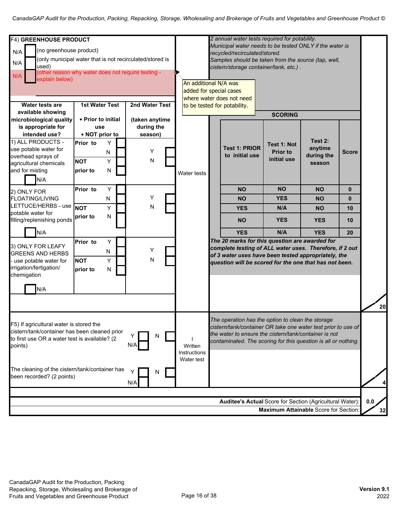| F4) GREENHOUSE PRODUCT<br>(no greenhouse product)<br>N/A<br>(only municipal water that is not recirculated/stored is<br>N/A<br>used)<br>other reason why water does not require testing -<br>N/A<br>explain below) |                                                         |                     |                                         |   | An additional N/A was<br>added for special cases | 2 annual water tests required for potability.<br>Municipal water needs to be tested ONLY if the water is<br>recycled/recirculated/stored.<br>Samples should be taken from the source (tap, well,<br>cistern/storage container/tank, etc.).<br>where water does not need |                                               |                                       |              |           |
|--------------------------------------------------------------------------------------------------------------------------------------------------------------------------------------------------------------------|---------------------------------------------------------|---------------------|-----------------------------------------|---|--------------------------------------------------|-------------------------------------------------------------------------------------------------------------------------------------------------------------------------------------------------------------------------------------------------------------------------|-----------------------------------------------|---------------------------------------|--------------|-----------|
| Water tests are<br>available showing                                                                                                                                                                               | <b>1st Water Test</b>                                   |                     | 2nd Water Test                          |   |                                                  | to be tested for potability.                                                                                                                                                                                                                                            |                                               |                                       |              |           |
| microbiological quality<br>is appropriate for<br>intended use?<br>1) ALL PRODUCTS -                                                                                                                                | • Prior to initial<br>use<br>• NOT prior to<br>Prior to | Y                   | (taken anytime<br>during the<br>season) |   |                                                  |                                                                                                                                                                                                                                                                         | <b>SCORING</b>                                | Test 2:                               |              |           |
| use potable water for<br>overhead sprays of<br>agricultural chemicals<br>and for misting<br>N/A                                                                                                                    | <b>NOT</b><br>prior to                                  | N<br>Y<br>${\sf N}$ | Υ<br>N                                  |   | Water tests                                      | <b>Test 1: PRIOR</b><br>to initial use                                                                                                                                                                                                                                  | Test 1: Not<br><b>Prior to</b><br>initial use | anytime<br>during the<br>season       | <b>Score</b> |           |
| 2) ONLY FOR                                                                                                                                                                                                        | Prior to                                                | Y                   |                                         |   |                                                  | <b>NO</b>                                                                                                                                                                                                                                                               | <b>NO</b>                                     | <b>NO</b>                             | $\mathbf{0}$ |           |
| <b>FLOATING/LIVING</b>                                                                                                                                                                                             |                                                         | N                   | Υ                                       |   |                                                  | <b>NO</b>                                                                                                                                                                                                                                                               | <b>YES</b>                                    | <b>NO</b>                             | $\bf{0}$     |           |
| LETTUCE/HERBS - use<br>potable water for<br>filling/replenishing ponds                                                                                                                                             | <b>NOT</b><br>prior to                                  | Y<br>N              | N                                       |   |                                                  | <b>YES</b><br><b>NO</b>                                                                                                                                                                                                                                                 | N/A<br><b>YES</b>                             | <b>NO</b><br><b>YES</b>               | 10<br>10     |           |
| N/A                                                                                                                                                                                                                |                                                         |                     |                                         |   |                                                  | <b>YES</b>                                                                                                                                                                                                                                                              | N/A                                           | <b>YES</b>                            | 20           |           |
| 3) ONLY FOR LEAFY<br><b>GREENS AND HERBS</b><br>use potable water for<br>irrigation/fertigation/<br>chemigation                                                                                                    | Prior to<br><b>NOT</b><br>prior to                      | Υ<br>N<br>Y<br>N    | Υ<br>N                                  |   |                                                  | The 20 marks for this question are awarded for<br>complete testing of ALL water uses. Therefore, if 2 out<br>of 3 water uses have been tested appropriately, the<br>question will be scored for the one that has not been.                                              |                                               |                                       |              |           |
| N/A                                                                                                                                                                                                                |                                                         |                     |                                         |   |                                                  |                                                                                                                                                                                                                                                                         |                                               |                                       |              | 20        |
| F5) If agricultural water is stored the<br>cistern/tank/container has been cleaned prior<br>to first use OR a water test is available? (2<br>points)                                                               |                                                         |                     | N/A                                     | N | Written<br>Instructions<br>Water test            | The operation has the option to clean the storage<br>cistern/tank/container OR take one water test prior to use of<br>the water to ensure the cistern/tank/container is not<br>contaminated. The scoring for this question is all or nothing.                           |                                               |                                       |              |           |
| The cleaning of the cistern/tank/container has<br>been recorded? (2 points)                                                                                                                                        |                                                         |                     | N/A                                     | N |                                                  |                                                                                                                                                                                                                                                                         |                                               |                                       |              |           |
|                                                                                                                                                                                                                    |                                                         |                     |                                         |   |                                                  | Auditee's Actual Score for Section (Agricultural Water):                                                                                                                                                                                                                |                                               | Maximum Attainable Score for Section: |              | 0.0<br>32 |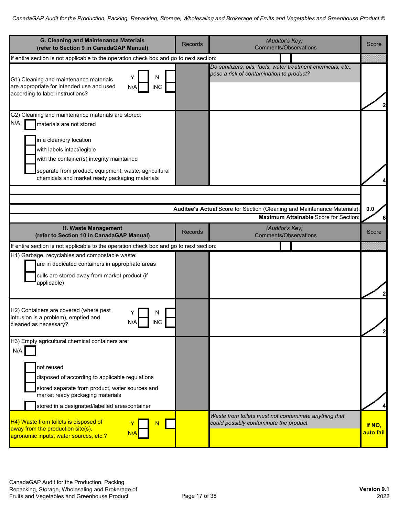| G. Cleaning and Maintenance Materials<br>(refer to Section 9 in CanadaGAP Manual)                                                                                                                                                                                                                       | <b>Records</b> | (Auditor's Key)<br><b>Comments/Observations</b>                                                                 | Score               |
|---------------------------------------------------------------------------------------------------------------------------------------------------------------------------------------------------------------------------------------------------------------------------------------------------------|----------------|-----------------------------------------------------------------------------------------------------------------|---------------------|
| If entire section is not applicable to the operation check box and go to next section:                                                                                                                                                                                                                  |                |                                                                                                                 |                     |
| N<br>Y<br>G1) Cleaning and maintenance materials<br>are appropriate for intended use and used<br><b>INC</b><br>N/A<br>according to label instructions?                                                                                                                                                  |                | Do sanitizers, oils, fuels, water treatment chemicals, etc.,<br>pose a risk of contamination to product?        |                     |
| G2) Cleaning and maintenance materials are stored:<br>N/A<br>materials are not stored<br>in a clean/dry location<br>with labels intact/legible<br>with the container(s) integrity maintained<br>separate from product, equipment, waste, agricultural<br>chemicals and market ready packaging materials |                |                                                                                                                 |                     |
|                                                                                                                                                                                                                                                                                                         |                | Auditee's Actual Score for Section (Cleaning and Maintenance Materials)<br>Maximum Attainable Score for Section | 0.0                 |
| H. Waste Management<br>(refer to Section 10 in CanadaGAP Manual)                                                                                                                                                                                                                                        | <b>Records</b> | (Auditor's Key)<br><b>Comments/Observations</b>                                                                 | Score               |
| If entire section is not applicable to the operation check box and go to next section:                                                                                                                                                                                                                  |                |                                                                                                                 |                     |
| H1) Garbage, recyclables and compostable waste:<br>are in dedicated containers in appropriate areas<br>culls are stored away from market product (if<br>applicable)                                                                                                                                     |                |                                                                                                                 | 2                   |
| H2) Containers are covered (where pest<br>intrusion is a problem), emptied and<br>N/A<br>INC<br>cleaned as necessary?                                                                                                                                                                                   |                |                                                                                                                 | $\overline{2}$      |
| H3) Empty agricultural chemical containers are:<br>N/A<br>not reused<br>disposed of according to applicable regulations<br>stored separate from product, water sources and<br>market ready packaging materials<br>stored in a designated/labelled area/container                                        |                | Waste from toilets must not contaminate anything that                                                           |                     |
| H4) Waste from toilets is disposed of<br>away from the production site(s),<br>N/A<br>agronomic inputs, water sources, etc.?                                                                                                                                                                             |                | could possibly contaminate the product                                                                          | If NO,<br>auto fail |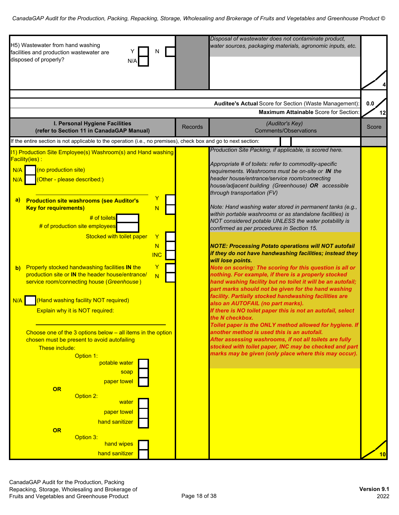| H5) Wastewater from hand washing<br>N<br>facilities and production wastewater are<br>disposed of properly?<br>N/A                                                                                                                                                                                          | Disposal of wastewater does not contaminate product,<br>water sources, packaging materials, agronomic inputs, etc.                                                                                                                                                                                                                                                                                                                           |           |
|------------------------------------------------------------------------------------------------------------------------------------------------------------------------------------------------------------------------------------------------------------------------------------------------------------|----------------------------------------------------------------------------------------------------------------------------------------------------------------------------------------------------------------------------------------------------------------------------------------------------------------------------------------------------------------------------------------------------------------------------------------------|-----------|
|                                                                                                                                                                                                                                                                                                            |                                                                                                                                                                                                                                                                                                                                                                                                                                              |           |
|                                                                                                                                                                                                                                                                                                            | Auditee's Actual Score for Section (Waste Management):<br><b>Maximum Attainable Score for Section</b>                                                                                                                                                                                                                                                                                                                                        | 0.0<br>12 |
| I. Personal Hygiene Facilities<br>(refer to Section 11 in CanadaGAP Manual)                                                                                                                                                                                                                                | (Auditor's Key)<br><b>Records</b><br><b>Comments/Observations</b>                                                                                                                                                                                                                                                                                                                                                                            | Score     |
| If the entire section is not applicable to the operation (i.e., no premises), check box and go to next section:                                                                                                                                                                                            |                                                                                                                                                                                                                                                                                                                                                                                                                                              |           |
| 11) Production Site Employee(s) Washroom(s) and Hand washing                                                                                                                                                                                                                                               | Production Site Packing, if applicable, is scored here.                                                                                                                                                                                                                                                                                                                                                                                      |           |
| Facility(ies) :<br>(no production site)<br>N/A<br>(Other - please described:)<br>N/A<br>Y<br><b>Production site washrooms (see Auditor's</b><br>a)                                                                                                                                                         | Appropriate # of toilets: refer to commodity-specific<br>requirements. Washrooms must be on-site or IN the<br>header house/entrance/service room/connecting<br>house/adjacent building (Greenhouse) OR accessible<br>through transportation (FV)                                                                                                                                                                                             |           |
| <b>Key for requirements)</b><br>N<br># of toilets<br># of production site employees<br>Stocked with toilet paper<br>Y<br>N<br><b>INC</b>                                                                                                                                                                   | Note: Hand washing water stored in permanent tanks (e.g.,<br>within portable washrooms or as standalone facilities) is<br>NOT considered potable UNLESS the water potability is<br>confirmed as per procedures in Section 15.<br><b>NOTE: Processing Potato operations will NOT autofail</b><br>if they do not have handwashing facilities; instead they                                                                                     |           |
| Properly stocked handwashing facilities IN the<br>Y<br>b)<br>production site or IN the header house/entrance/<br>$\overline{N}$<br>service room/connecting house (Greenhouse)<br>(Hand washing facility NOT required)<br>N/A<br>Explain why it is NOT required:                                            | will lose points.<br>Note on scoring: The scoring for this question is all or<br>nothing. For example, if there is a properly stocked<br>hand washing facility but no toilet it will be an autofail;<br>part marks should not be given for the hand washing<br>facility. Partially stocked handwashing facilities are<br>also an AUTOFAIL (no part marks).<br>If there is NO toilet paper this is not an autofail, select<br>the N checkbox. |           |
| Choose one of the 3 options below $-$ all items in the option<br>chosen must be present to avoid autofailing<br>These include:<br>Option 1:<br>potable water<br>soap<br>paper towel<br>OR<br>Option 2:<br><u>water</u><br>paper towel<br>hand sanitizer<br>OR<br>Option 3:<br>hand wipes<br>hand sanitizer | Toilet paper is the ONLY method allowed for hygiene. If<br>another method is used this is an autofail.<br>After assessing washrooms, if not all toilets are fully<br>stocked with toilet paper, INC may be checked and part<br>marks may be given (only place where this may occur).                                                                                                                                                         | 10        |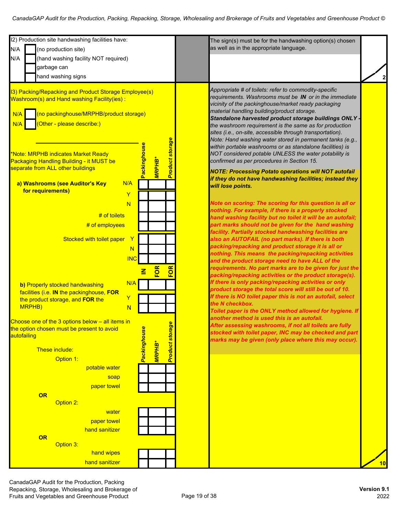| 12) Production site handwashing facilities have:<br>The sign(s) must be for the handwashing option(s) chosen<br>as well as in the appropriate language.<br>N/A<br>(no production site)<br>N/A<br>(hand washing facility NOT required)<br>garbage can<br>hand washing signs<br>Appropriate # of toilets: refer to commodity-specific<br>13) Packing/Repacking and Product Storage Employee(s)<br>requirements. Washrooms must be IN or in the immediate<br>Washroom(s) and Hand washing Facility(ies):<br>vicinity of the packinghouse/market ready packaging<br>material handling building/product storage.<br>(no packinghouse/MRPHB/product storage)<br>N/A<br>Standalone harvested product storage buildings ONLY -<br>(Other - please describe:)<br>N/A<br>the washroom requirement is the same as for production<br>sites (i.e., on-site, accessible through transportation).<br>Note: Hand washing water stored in permanent tanks (e.g.,<br><b>Product storage</b><br><b>Packinghouse</b><br>within portable washrooms or as standalone facilities) is<br>NOT considered potable UNLESS the water potability is<br>*Note: MRPHB indicates Market Ready<br><b>MRPHB*</b><br>confirmed as per procedures in Section 15.<br>Packaging Handling Building - it MUST be<br>separate from ALL other buildings<br><b>NOTE: Processing Potato operations will NOT autofail</b><br>if they do not have handwashing facilities; instead they<br>N/A<br>a) Washrooms (see Auditor's Key<br>will lose points.<br>for requirements)<br>Y<br>Note on scoring: The scoring for this question is all or<br>N<br>nothing. For example, if there is a properly stocked<br>$#$ of toilets<br>hand washing facility but no toilet it will be an autofail;<br>part marks should not be given for the hand washing<br># of employees<br>facility. Partially stocked handwashing facilities are<br>$\mathbf{Y}$<br>Stocked with toilet paper<br>also an AUTOFAIL (no part marks). If there is both<br>packing/repacking and product storage it is all or<br>N<br>nothing. This means the packing/repacking activities<br><b>INC</b><br>and the product storage need to have ALL of the<br>requirements. No part marks are to be given for just the<br>FOR<br>FOR<br>$\overline{\mathsf{z}}$<br>packing/repacking activities or the product storage(s).<br>If there is only packing/repacking activities or only<br>N/A<br>b) Properly stocked handwashing<br>product storage the total score will still be out of 10.<br>facilities (i.e. IN the packinghouse, FOR<br>If there is NO toilet paper this is not an autofail, select<br>Y<br>the product storage, and FOR the<br>the N checkbox.<br>MRPHB)<br>N<br>Toilet paper is the ONLY method allowed for hygiene. If<br>another method is used this is an autofail.<br>Choose one of the 3 options below $-$ all items in<br><b>Product storage</b><br>After assessing washrooms, if not all toilets are fully<br>Packinghouse<br>the option chosen must be present to avoid<br>stocked with toilet paper, INC may be checked and part<br>autofailing<br>marks may be given (only place where this may occur).<br><b>MRPHB*</b><br>These include:<br>Option 1:<br>potable water<br>soap<br>paper towel<br>OR<br>Option 2:<br>water<br>paper towel<br>hand sanitizer<br>OR<br>Option 3:<br>hand wipes<br>hand sanitizer |  |  |    |
|----------------------------------------------------------------------------------------------------------------------------------------------------------------------------------------------------------------------------------------------------------------------------------------------------------------------------------------------------------------------------------------------------------------------------------------------------------------------------------------------------------------------------------------------------------------------------------------------------------------------------------------------------------------------------------------------------------------------------------------------------------------------------------------------------------------------------------------------------------------------------------------------------------------------------------------------------------------------------------------------------------------------------------------------------------------------------------------------------------------------------------------------------------------------------------------------------------------------------------------------------------------------------------------------------------------------------------------------------------------------------------------------------------------------------------------------------------------------------------------------------------------------------------------------------------------------------------------------------------------------------------------------------------------------------------------------------------------------------------------------------------------------------------------------------------------------------------------------------------------------------------------------------------------------------------------------------------------------------------------------------------------------------------------------------------------------------------------------------------------------------------------------------------------------------------------------------------------------------------------------------------------------------------------------------------------------------------------------------------------------------------------------------------------------------------------------------------------------------------------------------------------------------------------------------------------------------------------------------------------------------------------------------------------------------------------------------------------------------------------------------------------------------------------------------------------------------------------------------------------------------------------------------------------------------------------------------------------------------------------------------------------------------------------------------------------------------------------------------------------------------------------------------------------------------------------------------------------------------------------------------------------------------------------------------------------------------------------------------------|--|--|----|
|                                                                                                                                                                                                                                                                                                                                                                                                                                                                                                                                                                                                                                                                                                                                                                                                                                                                                                                                                                                                                                                                                                                                                                                                                                                                                                                                                                                                                                                                                                                                                                                                                                                                                                                                                                                                                                                                                                                                                                                                                                                                                                                                                                                                                                                                                                                                                                                                                                                                                                                                                                                                                                                                                                                                                                                                                                                                                                                                                                                                                                                                                                                                                                                                                                                                                                                                                          |  |  |    |
|                                                                                                                                                                                                                                                                                                                                                                                                                                                                                                                                                                                                                                                                                                                                                                                                                                                                                                                                                                                                                                                                                                                                                                                                                                                                                                                                                                                                                                                                                                                                                                                                                                                                                                                                                                                                                                                                                                                                                                                                                                                                                                                                                                                                                                                                                                                                                                                                                                                                                                                                                                                                                                                                                                                                                                                                                                                                                                                                                                                                                                                                                                                                                                                                                                                                                                                                                          |  |  |    |
|                                                                                                                                                                                                                                                                                                                                                                                                                                                                                                                                                                                                                                                                                                                                                                                                                                                                                                                                                                                                                                                                                                                                                                                                                                                                                                                                                                                                                                                                                                                                                                                                                                                                                                                                                                                                                                                                                                                                                                                                                                                                                                                                                                                                                                                                                                                                                                                                                                                                                                                                                                                                                                                                                                                                                                                                                                                                                                                                                                                                                                                                                                                                                                                                                                                                                                                                                          |  |  |    |
|                                                                                                                                                                                                                                                                                                                                                                                                                                                                                                                                                                                                                                                                                                                                                                                                                                                                                                                                                                                                                                                                                                                                                                                                                                                                                                                                                                                                                                                                                                                                                                                                                                                                                                                                                                                                                                                                                                                                                                                                                                                                                                                                                                                                                                                                                                                                                                                                                                                                                                                                                                                                                                                                                                                                                                                                                                                                                                                                                                                                                                                                                                                                                                                                                                                                                                                                                          |  |  |    |
|                                                                                                                                                                                                                                                                                                                                                                                                                                                                                                                                                                                                                                                                                                                                                                                                                                                                                                                                                                                                                                                                                                                                                                                                                                                                                                                                                                                                                                                                                                                                                                                                                                                                                                                                                                                                                                                                                                                                                                                                                                                                                                                                                                                                                                                                                                                                                                                                                                                                                                                                                                                                                                                                                                                                                                                                                                                                                                                                                                                                                                                                                                                                                                                                                                                                                                                                                          |  |  |    |
|                                                                                                                                                                                                                                                                                                                                                                                                                                                                                                                                                                                                                                                                                                                                                                                                                                                                                                                                                                                                                                                                                                                                                                                                                                                                                                                                                                                                                                                                                                                                                                                                                                                                                                                                                                                                                                                                                                                                                                                                                                                                                                                                                                                                                                                                                                                                                                                                                                                                                                                                                                                                                                                                                                                                                                                                                                                                                                                                                                                                                                                                                                                                                                                                                                                                                                                                                          |  |  |    |
|                                                                                                                                                                                                                                                                                                                                                                                                                                                                                                                                                                                                                                                                                                                                                                                                                                                                                                                                                                                                                                                                                                                                                                                                                                                                                                                                                                                                                                                                                                                                                                                                                                                                                                                                                                                                                                                                                                                                                                                                                                                                                                                                                                                                                                                                                                                                                                                                                                                                                                                                                                                                                                                                                                                                                                                                                                                                                                                                                                                                                                                                                                                                                                                                                                                                                                                                                          |  |  |    |
|                                                                                                                                                                                                                                                                                                                                                                                                                                                                                                                                                                                                                                                                                                                                                                                                                                                                                                                                                                                                                                                                                                                                                                                                                                                                                                                                                                                                                                                                                                                                                                                                                                                                                                                                                                                                                                                                                                                                                                                                                                                                                                                                                                                                                                                                                                                                                                                                                                                                                                                                                                                                                                                                                                                                                                                                                                                                                                                                                                                                                                                                                                                                                                                                                                                                                                                                                          |  |  |    |
|                                                                                                                                                                                                                                                                                                                                                                                                                                                                                                                                                                                                                                                                                                                                                                                                                                                                                                                                                                                                                                                                                                                                                                                                                                                                                                                                                                                                                                                                                                                                                                                                                                                                                                                                                                                                                                                                                                                                                                                                                                                                                                                                                                                                                                                                                                                                                                                                                                                                                                                                                                                                                                                                                                                                                                                                                                                                                                                                                                                                                                                                                                                                                                                                                                                                                                                                                          |  |  |    |
|                                                                                                                                                                                                                                                                                                                                                                                                                                                                                                                                                                                                                                                                                                                                                                                                                                                                                                                                                                                                                                                                                                                                                                                                                                                                                                                                                                                                                                                                                                                                                                                                                                                                                                                                                                                                                                                                                                                                                                                                                                                                                                                                                                                                                                                                                                                                                                                                                                                                                                                                                                                                                                                                                                                                                                                                                                                                                                                                                                                                                                                                                                                                                                                                                                                                                                                                                          |  |  |    |
|                                                                                                                                                                                                                                                                                                                                                                                                                                                                                                                                                                                                                                                                                                                                                                                                                                                                                                                                                                                                                                                                                                                                                                                                                                                                                                                                                                                                                                                                                                                                                                                                                                                                                                                                                                                                                                                                                                                                                                                                                                                                                                                                                                                                                                                                                                                                                                                                                                                                                                                                                                                                                                                                                                                                                                                                                                                                                                                                                                                                                                                                                                                                                                                                                                                                                                                                                          |  |  |    |
|                                                                                                                                                                                                                                                                                                                                                                                                                                                                                                                                                                                                                                                                                                                                                                                                                                                                                                                                                                                                                                                                                                                                                                                                                                                                                                                                                                                                                                                                                                                                                                                                                                                                                                                                                                                                                                                                                                                                                                                                                                                                                                                                                                                                                                                                                                                                                                                                                                                                                                                                                                                                                                                                                                                                                                                                                                                                                                                                                                                                                                                                                                                                                                                                                                                                                                                                                          |  |  |    |
|                                                                                                                                                                                                                                                                                                                                                                                                                                                                                                                                                                                                                                                                                                                                                                                                                                                                                                                                                                                                                                                                                                                                                                                                                                                                                                                                                                                                                                                                                                                                                                                                                                                                                                                                                                                                                                                                                                                                                                                                                                                                                                                                                                                                                                                                                                                                                                                                                                                                                                                                                                                                                                                                                                                                                                                                                                                                                                                                                                                                                                                                                                                                                                                                                                                                                                                                                          |  |  |    |
|                                                                                                                                                                                                                                                                                                                                                                                                                                                                                                                                                                                                                                                                                                                                                                                                                                                                                                                                                                                                                                                                                                                                                                                                                                                                                                                                                                                                                                                                                                                                                                                                                                                                                                                                                                                                                                                                                                                                                                                                                                                                                                                                                                                                                                                                                                                                                                                                                                                                                                                                                                                                                                                                                                                                                                                                                                                                                                                                                                                                                                                                                                                                                                                                                                                                                                                                                          |  |  |    |
|                                                                                                                                                                                                                                                                                                                                                                                                                                                                                                                                                                                                                                                                                                                                                                                                                                                                                                                                                                                                                                                                                                                                                                                                                                                                                                                                                                                                                                                                                                                                                                                                                                                                                                                                                                                                                                                                                                                                                                                                                                                                                                                                                                                                                                                                                                                                                                                                                                                                                                                                                                                                                                                                                                                                                                                                                                                                                                                                                                                                                                                                                                                                                                                                                                                                                                                                                          |  |  |    |
|                                                                                                                                                                                                                                                                                                                                                                                                                                                                                                                                                                                                                                                                                                                                                                                                                                                                                                                                                                                                                                                                                                                                                                                                                                                                                                                                                                                                                                                                                                                                                                                                                                                                                                                                                                                                                                                                                                                                                                                                                                                                                                                                                                                                                                                                                                                                                                                                                                                                                                                                                                                                                                                                                                                                                                                                                                                                                                                                                                                                                                                                                                                                                                                                                                                                                                                                                          |  |  |    |
|                                                                                                                                                                                                                                                                                                                                                                                                                                                                                                                                                                                                                                                                                                                                                                                                                                                                                                                                                                                                                                                                                                                                                                                                                                                                                                                                                                                                                                                                                                                                                                                                                                                                                                                                                                                                                                                                                                                                                                                                                                                                                                                                                                                                                                                                                                                                                                                                                                                                                                                                                                                                                                                                                                                                                                                                                                                                                                                                                                                                                                                                                                                                                                                                                                                                                                                                                          |  |  |    |
|                                                                                                                                                                                                                                                                                                                                                                                                                                                                                                                                                                                                                                                                                                                                                                                                                                                                                                                                                                                                                                                                                                                                                                                                                                                                                                                                                                                                                                                                                                                                                                                                                                                                                                                                                                                                                                                                                                                                                                                                                                                                                                                                                                                                                                                                                                                                                                                                                                                                                                                                                                                                                                                                                                                                                                                                                                                                                                                                                                                                                                                                                                                                                                                                                                                                                                                                                          |  |  |    |
|                                                                                                                                                                                                                                                                                                                                                                                                                                                                                                                                                                                                                                                                                                                                                                                                                                                                                                                                                                                                                                                                                                                                                                                                                                                                                                                                                                                                                                                                                                                                                                                                                                                                                                                                                                                                                                                                                                                                                                                                                                                                                                                                                                                                                                                                                                                                                                                                                                                                                                                                                                                                                                                                                                                                                                                                                                                                                                                                                                                                                                                                                                                                                                                                                                                                                                                                                          |  |  |    |
|                                                                                                                                                                                                                                                                                                                                                                                                                                                                                                                                                                                                                                                                                                                                                                                                                                                                                                                                                                                                                                                                                                                                                                                                                                                                                                                                                                                                                                                                                                                                                                                                                                                                                                                                                                                                                                                                                                                                                                                                                                                                                                                                                                                                                                                                                                                                                                                                                                                                                                                                                                                                                                                                                                                                                                                                                                                                                                                                                                                                                                                                                                                                                                                                                                                                                                                                                          |  |  |    |
|                                                                                                                                                                                                                                                                                                                                                                                                                                                                                                                                                                                                                                                                                                                                                                                                                                                                                                                                                                                                                                                                                                                                                                                                                                                                                                                                                                                                                                                                                                                                                                                                                                                                                                                                                                                                                                                                                                                                                                                                                                                                                                                                                                                                                                                                                                                                                                                                                                                                                                                                                                                                                                                                                                                                                                                                                                                                                                                                                                                                                                                                                                                                                                                                                                                                                                                                                          |  |  |    |
|                                                                                                                                                                                                                                                                                                                                                                                                                                                                                                                                                                                                                                                                                                                                                                                                                                                                                                                                                                                                                                                                                                                                                                                                                                                                                                                                                                                                                                                                                                                                                                                                                                                                                                                                                                                                                                                                                                                                                                                                                                                                                                                                                                                                                                                                                                                                                                                                                                                                                                                                                                                                                                                                                                                                                                                                                                                                                                                                                                                                                                                                                                                                                                                                                                                                                                                                                          |  |  |    |
|                                                                                                                                                                                                                                                                                                                                                                                                                                                                                                                                                                                                                                                                                                                                                                                                                                                                                                                                                                                                                                                                                                                                                                                                                                                                                                                                                                                                                                                                                                                                                                                                                                                                                                                                                                                                                                                                                                                                                                                                                                                                                                                                                                                                                                                                                                                                                                                                                                                                                                                                                                                                                                                                                                                                                                                                                                                                                                                                                                                                                                                                                                                                                                                                                                                                                                                                                          |  |  |    |
|                                                                                                                                                                                                                                                                                                                                                                                                                                                                                                                                                                                                                                                                                                                                                                                                                                                                                                                                                                                                                                                                                                                                                                                                                                                                                                                                                                                                                                                                                                                                                                                                                                                                                                                                                                                                                                                                                                                                                                                                                                                                                                                                                                                                                                                                                                                                                                                                                                                                                                                                                                                                                                                                                                                                                                                                                                                                                                                                                                                                                                                                                                                                                                                                                                                                                                                                                          |  |  |    |
|                                                                                                                                                                                                                                                                                                                                                                                                                                                                                                                                                                                                                                                                                                                                                                                                                                                                                                                                                                                                                                                                                                                                                                                                                                                                                                                                                                                                                                                                                                                                                                                                                                                                                                                                                                                                                                                                                                                                                                                                                                                                                                                                                                                                                                                                                                                                                                                                                                                                                                                                                                                                                                                                                                                                                                                                                                                                                                                                                                                                                                                                                                                                                                                                                                                                                                                                                          |  |  |    |
|                                                                                                                                                                                                                                                                                                                                                                                                                                                                                                                                                                                                                                                                                                                                                                                                                                                                                                                                                                                                                                                                                                                                                                                                                                                                                                                                                                                                                                                                                                                                                                                                                                                                                                                                                                                                                                                                                                                                                                                                                                                                                                                                                                                                                                                                                                                                                                                                                                                                                                                                                                                                                                                                                                                                                                                                                                                                                                                                                                                                                                                                                                                                                                                                                                                                                                                                                          |  |  |    |
|                                                                                                                                                                                                                                                                                                                                                                                                                                                                                                                                                                                                                                                                                                                                                                                                                                                                                                                                                                                                                                                                                                                                                                                                                                                                                                                                                                                                                                                                                                                                                                                                                                                                                                                                                                                                                                                                                                                                                                                                                                                                                                                                                                                                                                                                                                                                                                                                                                                                                                                                                                                                                                                                                                                                                                                                                                                                                                                                                                                                                                                                                                                                                                                                                                                                                                                                                          |  |  |    |
|                                                                                                                                                                                                                                                                                                                                                                                                                                                                                                                                                                                                                                                                                                                                                                                                                                                                                                                                                                                                                                                                                                                                                                                                                                                                                                                                                                                                                                                                                                                                                                                                                                                                                                                                                                                                                                                                                                                                                                                                                                                                                                                                                                                                                                                                                                                                                                                                                                                                                                                                                                                                                                                                                                                                                                                                                                                                                                                                                                                                                                                                                                                                                                                                                                                                                                                                                          |  |  |    |
|                                                                                                                                                                                                                                                                                                                                                                                                                                                                                                                                                                                                                                                                                                                                                                                                                                                                                                                                                                                                                                                                                                                                                                                                                                                                                                                                                                                                                                                                                                                                                                                                                                                                                                                                                                                                                                                                                                                                                                                                                                                                                                                                                                                                                                                                                                                                                                                                                                                                                                                                                                                                                                                                                                                                                                                                                                                                                                                                                                                                                                                                                                                                                                                                                                                                                                                                                          |  |  |    |
|                                                                                                                                                                                                                                                                                                                                                                                                                                                                                                                                                                                                                                                                                                                                                                                                                                                                                                                                                                                                                                                                                                                                                                                                                                                                                                                                                                                                                                                                                                                                                                                                                                                                                                                                                                                                                                                                                                                                                                                                                                                                                                                                                                                                                                                                                                                                                                                                                                                                                                                                                                                                                                                                                                                                                                                                                                                                                                                                                                                                                                                                                                                                                                                                                                                                                                                                                          |  |  |    |
|                                                                                                                                                                                                                                                                                                                                                                                                                                                                                                                                                                                                                                                                                                                                                                                                                                                                                                                                                                                                                                                                                                                                                                                                                                                                                                                                                                                                                                                                                                                                                                                                                                                                                                                                                                                                                                                                                                                                                                                                                                                                                                                                                                                                                                                                                                                                                                                                                                                                                                                                                                                                                                                                                                                                                                                                                                                                                                                                                                                                                                                                                                                                                                                                                                                                                                                                                          |  |  |    |
|                                                                                                                                                                                                                                                                                                                                                                                                                                                                                                                                                                                                                                                                                                                                                                                                                                                                                                                                                                                                                                                                                                                                                                                                                                                                                                                                                                                                                                                                                                                                                                                                                                                                                                                                                                                                                                                                                                                                                                                                                                                                                                                                                                                                                                                                                                                                                                                                                                                                                                                                                                                                                                                                                                                                                                                                                                                                                                                                                                                                                                                                                                                                                                                                                                                                                                                                                          |  |  |    |
|                                                                                                                                                                                                                                                                                                                                                                                                                                                                                                                                                                                                                                                                                                                                                                                                                                                                                                                                                                                                                                                                                                                                                                                                                                                                                                                                                                                                                                                                                                                                                                                                                                                                                                                                                                                                                                                                                                                                                                                                                                                                                                                                                                                                                                                                                                                                                                                                                                                                                                                                                                                                                                                                                                                                                                                                                                                                                                                                                                                                                                                                                                                                                                                                                                                                                                                                                          |  |  |    |
|                                                                                                                                                                                                                                                                                                                                                                                                                                                                                                                                                                                                                                                                                                                                                                                                                                                                                                                                                                                                                                                                                                                                                                                                                                                                                                                                                                                                                                                                                                                                                                                                                                                                                                                                                                                                                                                                                                                                                                                                                                                                                                                                                                                                                                                                                                                                                                                                                                                                                                                                                                                                                                                                                                                                                                                                                                                                                                                                                                                                                                                                                                                                                                                                                                                                                                                                                          |  |  |    |
|                                                                                                                                                                                                                                                                                                                                                                                                                                                                                                                                                                                                                                                                                                                                                                                                                                                                                                                                                                                                                                                                                                                                                                                                                                                                                                                                                                                                                                                                                                                                                                                                                                                                                                                                                                                                                                                                                                                                                                                                                                                                                                                                                                                                                                                                                                                                                                                                                                                                                                                                                                                                                                                                                                                                                                                                                                                                                                                                                                                                                                                                                                                                                                                                                                                                                                                                                          |  |  | 10 |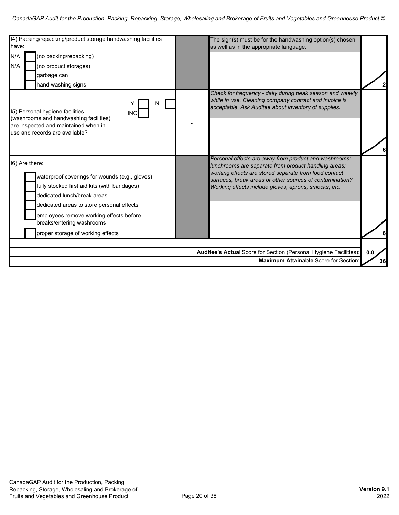| 14) Packing/repacking/product storage handwashing facilities<br>have:<br>N/A<br>(no packing/repacking)<br>N/A<br>(no product storages)<br>garbage can<br>hand washing signs                                                                                                                               | The sign(s) must be for the handwashing option(s) chosen<br>as well as in the appropriate language.                                                                                                                                                                                        |
|-----------------------------------------------------------------------------------------------------------------------------------------------------------------------------------------------------------------------------------------------------------------------------------------------------------|--------------------------------------------------------------------------------------------------------------------------------------------------------------------------------------------------------------------------------------------------------------------------------------------|
| N<br>15) Personal hygiene facilities<br><b>INC</b><br>(washrooms and handwashing facilities)<br>are inspected and maintained when in<br>use and records are available?                                                                                                                                    | Check for frequency - daily during peak season and weekly<br>while in use. Cleaning company contract and invoice is<br>acceptable. Ask Auditee about inventory of supplies.                                                                                                                |
| 16) Are there:<br>waterproof coverings for wounds (e.g., gloves)<br>fully stocked first aid kits (with bandages)<br>dedicated lunch/break areas<br>dedicated areas to store personal effects<br>employees remove working effects before<br>breaks/entering washrooms<br>proper storage of working effects | Personal effects are away from product and washrooms;<br>lunchrooms are separate from product handling areas;<br>working effects are stored separate from food contact<br>surfaces, break areas or other sources of contamination?<br>Working effects include gloves, aprons, smocks, etc. |
|                                                                                                                                                                                                                                                                                                           | Auditee's Actual Score for Section (Personal Hygiene Facilities):<br>0.0<br><b>Maximum Attainable Score for Section</b><br>36                                                                                                                                                              |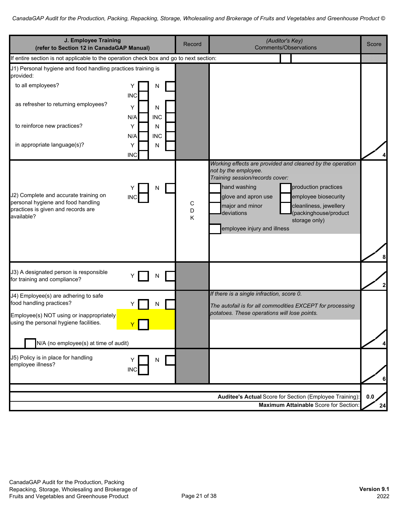| J. Employee Training<br>(refer to Section 12 in CanadaGAP Manual)                                                               |                                           | Record      | (Auditor's Key)<br><b>Comments/Observations</b>                                                                                                                                                                                                                                                                                                 | Score     |
|---------------------------------------------------------------------------------------------------------------------------------|-------------------------------------------|-------------|-------------------------------------------------------------------------------------------------------------------------------------------------------------------------------------------------------------------------------------------------------------------------------------------------------------------------------------------------|-----------|
| If entire section is not applicable to the operation check box and go to next section:                                          |                                           |             |                                                                                                                                                                                                                                                                                                                                                 |           |
| J1) Personal hygiene and food handling practices training is<br>provided:                                                       |                                           |             |                                                                                                                                                                                                                                                                                                                                                 |           |
| to all employees?                                                                                                               | N<br>Y<br><b>INC</b>                      |             |                                                                                                                                                                                                                                                                                                                                                 |           |
| as refresher to returning employees?                                                                                            | Y<br>N                                    |             |                                                                                                                                                                                                                                                                                                                                                 |           |
| to reinforce new practices?                                                                                                     | N/A<br><b>INC</b><br>N<br>Y               |             |                                                                                                                                                                                                                                                                                                                                                 |           |
| in appropriate language(s)?                                                                                                     | <b>INC</b><br>N/A<br>N<br>Y<br><b>INC</b> |             |                                                                                                                                                                                                                                                                                                                                                 |           |
| J2) Complete and accurate training on<br>personal hygiene and food handling<br>practices is given and records are<br>available? | N<br><b>INC</b>                           | C<br>D<br>Κ | Working effects are provided and cleaned by the operation<br>not by the employee.<br>Training session/records cover:<br>production practices<br>hand washing<br>employee biosecurity<br>glove and apron use<br>major and minor<br>cleanliness, jewellery<br>deviations<br>(packinghouse/product<br>storage only)<br>employee injury and illness |           |
| J3) A designated person is responsible<br>for training and compliance?                                                          | N                                         |             |                                                                                                                                                                                                                                                                                                                                                 |           |
| J4) Employee(s) are adhering to safe<br>food handling practices?                                                                |                                           |             | If there is a single infraction, score 0.<br>The autofail is for all commodities EXCEPT for processing                                                                                                                                                                                                                                          |           |
| Employee(s) NOT using or inappropriately<br>using the personal hygiene facilities.                                              |                                           |             | potatoes. These operations will lose points.                                                                                                                                                                                                                                                                                                    |           |
| N/A (no employee(s) at time of audit)                                                                                           |                                           |             |                                                                                                                                                                                                                                                                                                                                                 |           |
| J5) Policy is in place for handling<br>employee illness?                                                                        | N<br><b>INC</b>                           |             |                                                                                                                                                                                                                                                                                                                                                 |           |
|                                                                                                                                 |                                           |             | Auditee's Actual Score for Section (Employee Training):<br><b>Maximum Attainable Score for Section</b>                                                                                                                                                                                                                                          | 0.0<br>24 |
|                                                                                                                                 |                                           |             |                                                                                                                                                                                                                                                                                                                                                 |           |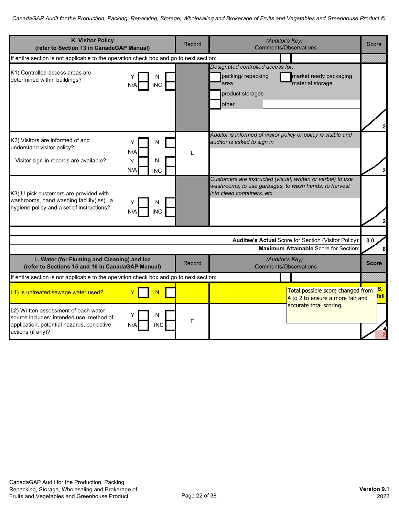| <b>K. Visitor Policy</b><br>(refer to Section 13 in CanadaGAP Manual)                                                                                      |                 | Record |                                                                                              | (Auditor's Key)<br><b>Comments/Observations</b>                                                                      | Score                   |
|------------------------------------------------------------------------------------------------------------------------------------------------------------|-----------------|--------|----------------------------------------------------------------------------------------------|----------------------------------------------------------------------------------------------------------------------|-------------------------|
| If entire section is not applicable to the operation check box and go to next section:                                                                     |                 |        |                                                                                              |                                                                                                                      |                         |
| K1) Controlled-access areas are<br>determined within buildings?<br>N/A                                                                                     | N<br><b>INC</b> |        | Designated controlled access for:<br>packing/ repacking<br>area<br>product storages<br>other | market ready packaging<br>material storage                                                                           |                         |
| K2) Visitors are informed of and<br>Υ<br>understand visitor policy?<br>N/A<br>Visitor sign-in records are available?<br>Y<br>N/A                           | N<br>N<br>INC   | L      | auditor is asked to sign in                                                                  | Auditor is informed of visitor policy or policy is visible and                                                       |                         |
| K3) U-pick customers are provided with<br>washrooms, hand washing facility(ies), a<br>hygiene policy and a set of instructions?                            | N<br><b>INC</b> |        | into clean containers, etc.                                                                  | Customers are instructed (visual, written or verbal) to use<br>washrooms, to use garbages, to wash hands, to harvest | $\mathbf{z}$            |
|                                                                                                                                                            |                 |        |                                                                                              | Auditee's Actual Score for Section (Visitor Policy):                                                                 | 0.0                     |
|                                                                                                                                                            |                 |        |                                                                                              | Maximum Attainable Score for Section:                                                                                | 6                       |
| L. Water (for Fluming and Cleaning) and Ice<br>(refer to Sections 15 and 16 in CanadaGAP Manual)                                                           |                 | Record |                                                                                              | (Auditor's Key)<br><b>Comments/Observations</b>                                                                      | <b>Score</b>            |
| If entire section is not applicable to the operation check box and go to next section:                                                                     |                 |        |                                                                                              |                                                                                                                      |                         |
| L1) Is untreated sewage water used?                                                                                                                        |                 |        |                                                                                              | Total possible score changed from<br>4 to 2 to ensure a more fair and<br>accurate total scoring.                     | ß,<br><mark>fail</mark> |
| L2) Written assessment of each water<br>source includes: intended use, method of<br>application, potential hazards, corrective<br>N/A<br>actions (if any)? | N<br><b>INC</b> | F      |                                                                                              |                                                                                                                      |                         |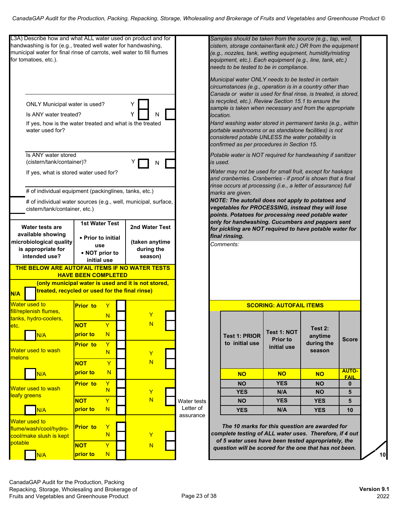| L3A) Describe how and what ALL water used on product and for<br>handwashing is for (e.g., treated well water for handwashing,<br>municipal water for final rinse of carrots, well water to fill flumes<br>for tomatoes, etc.). |                                                                |                         |             |           | Samples should be taken from the source (e.g., tap, well,<br>cistern, storage container/tank etc.) OR from the equipment<br>(e.g., nozzles, tank, wetting equipment, humidity/misting<br>equipment, etc.). Each equipment (e.g., line, tank, etc.)<br>needs to be tested to be in compliance.                                                                                                                                                                                                                                     |                                |                      |                         |
|--------------------------------------------------------------------------------------------------------------------------------------------------------------------------------------------------------------------------------|----------------------------------------------------------------|-------------------------|-------------|-----------|-----------------------------------------------------------------------------------------------------------------------------------------------------------------------------------------------------------------------------------------------------------------------------------------------------------------------------------------------------------------------------------------------------------------------------------------------------------------------------------------------------------------------------------|--------------------------------|----------------------|-------------------------|
| ONLY Municipal water is used?<br>Is ANY water treated?<br>water used for?                                                                                                                                                      | If yes, how is the water treated and what is the treated       | Υ<br>N                  |             | location. | Municipal water ONLY needs to be tested in certain<br>circumstances (e.g., operation is in a country other than<br>Canada or water is used for final rinse, is treated, is stored,<br>is recycled, etc.). Review Section 15.1 to ensure the<br>sample is taken when necessary and from the appropriate<br>Hand washing water stored in permanent tanks (e.g., within<br>portable washrooms or as standalone facilities) is not<br>considered potable UNLESS the water potability is<br>confirmed as per procedures in Section 15. |                                |                      |                         |
| Is ANY water stored                                                                                                                                                                                                            |                                                                |                         |             |           | Potable water is NOT required for handwashing if sanitizer                                                                                                                                                                                                                                                                                                                                                                                                                                                                        |                                |                      |                         |
| (cistern/tank/container)?                                                                                                                                                                                                      |                                                                | N                       |             | is used.  |                                                                                                                                                                                                                                                                                                                                                                                                                                                                                                                                   |                                |                      |                         |
| If yes, what is stored water used for?                                                                                                                                                                                         |                                                                |                         |             |           | Water may not be used for small fruit, except for haskaps<br>and cranberries. Cranberries - if proof is shown that a final                                                                                                                                                                                                                                                                                                                                                                                                        |                                |                      |                         |
|                                                                                                                                                                                                                                |                                                                |                         |             |           | rinse occurs at processing (i.e., a letter of assurance) full                                                                                                                                                                                                                                                                                                                                                                                                                                                                     |                                |                      |                         |
|                                                                                                                                                                                                                                | # of individual equipment (packinglines, tanks, etc.)          |                         |             |           | marks are given.                                                                                                                                                                                                                                                                                                                                                                                                                                                                                                                  |                                |                      |                         |
| cistern/tank/container, etc.)                                                                                                                                                                                                  | # of individual water sources (e.g., well, municipal, surface, |                         |             |           | NOTE: The autofail does not apply to potatoes and<br>vegetables for PROCESSING, instead they will lose<br>points. Potatoes for processing need potable water                                                                                                                                                                                                                                                                                                                                                                      |                                |                      |                         |
|                                                                                                                                                                                                                                | <b>1st Water Test</b>                                          |                         |             |           | only for handwashing. Cucumbers and peppers sent                                                                                                                                                                                                                                                                                                                                                                                                                                                                                  |                                |                      |                         |
| Water tests are<br>available showing                                                                                                                                                                                           |                                                                | 2nd Water Test          |             |           | for pickling are NOT required to have potable water for                                                                                                                                                                                                                                                                                                                                                                                                                                                                           |                                |                      |                         |
| microbiological quality                                                                                                                                                                                                        | • Prior to initial                                             | (taken anytime          |             |           | final rinsing.<br>Comments:                                                                                                                                                                                                                                                                                                                                                                                                                                                                                                       |                                |                      |                         |
| is appropriate for                                                                                                                                                                                                             | use<br>• NOT prior to                                          | during the              |             |           |                                                                                                                                                                                                                                                                                                                                                                                                                                                                                                                                   |                                |                      |                         |
| intended use?                                                                                                                                                                                                                  | initial use                                                    | season)                 |             |           |                                                                                                                                                                                                                                                                                                                                                                                                                                                                                                                                   |                                |                      |                         |
| THE BELOW ARE AUTOFAIL ITEMS IF NO WATER TESTS                                                                                                                                                                                 | <b>HAVE BEEN COMPLETED</b>                                     |                         |             |           |                                                                                                                                                                                                                                                                                                                                                                                                                                                                                                                                   |                                |                      |                         |
|                                                                                                                                                                                                                                | (only municipal water is used and it is not stored,            |                         |             |           |                                                                                                                                                                                                                                                                                                                                                                                                                                                                                                                                   |                                |                      |                         |
| N/A                                                                                                                                                                                                                            | treated, recycled or used for the final rinse)                 |                         |             |           |                                                                                                                                                                                                                                                                                                                                                                                                                                                                                                                                   |                                |                      |                         |
| <b>Water used to</b><br>fill/replenish flumes,                                                                                                                                                                                 | <b>Prior</b> to<br>Y                                           |                         |             |           |                                                                                                                                                                                                                                                                                                                                                                                                                                                                                                                                   | <b>SCORING: AUTOFAIL ITEMS</b> |                      |                         |
| tanks, hydro-coolers,                                                                                                                                                                                                          | N                                                              |                         |             |           |                                                                                                                                                                                                                                                                                                                                                                                                                                                                                                                                   |                                |                      |                         |
| letc.                                                                                                                                                                                                                          | <b>NOT</b><br>Ÿ                                                | N                       |             |           |                                                                                                                                                                                                                                                                                                                                                                                                                                                                                                                                   | <b>Test 1: NOT</b>             | Test 2:              |                         |
| N/A                                                                                                                                                                                                                            | N<br>prior to                                                  |                         |             |           | <b>Test 1: PRIOR</b>                                                                                                                                                                                                                                                                                                                                                                                                                                                                                                              | <b>Prior to</b>                | anytime              | <b>Score</b>            |
| <b>Water used to wash</b><br>melons                                                                                                                                                                                            | $\mathbf Y$<br><b>Prior</b> to<br>N                            | Y                       |             |           | to initial use                                                                                                                                                                                                                                                                                                                                                                                                                                                                                                                    | initial use                    | during the<br>season |                         |
|                                                                                                                                                                                                                                | $\overline{Y}$<br><b>NOT</b>                                   | $\overline{\mathsf{N}}$ |             |           |                                                                                                                                                                                                                                                                                                                                                                                                                                                                                                                                   |                                |                      |                         |
|                                                                                                                                                                                                                                |                                                                |                         |             |           | <b>NO</b>                                                                                                                                                                                                                                                                                                                                                                                                                                                                                                                         | <b>NO</b>                      | <b>NO</b>            | <b>AUTO-</b>            |
| N/A                                                                                                                                                                                                                            | N<br>prior to                                                  |                         |             |           |                                                                                                                                                                                                                                                                                                                                                                                                                                                                                                                                   |                                |                      |                         |
|                                                                                                                                                                                                                                | $\mathsf{Y}$<br><b>Prior</b> to                                |                         |             |           | <b>NO</b>                                                                                                                                                                                                                                                                                                                                                                                                                                                                                                                         | <b>YES</b>                     | <b>NO</b>            | <b>FAIL</b><br>$\bf{0}$ |
|                                                                                                                                                                                                                                | N                                                              | Y                       |             |           | <b>YES</b>                                                                                                                                                                                                                                                                                                                                                                                                                                                                                                                        | N/A                            | <b>NO</b>            | 5                       |
| <b>Water used to wash</b><br>leafy greens                                                                                                                                                                                      | $\mathsf{Y}$<br><b>NOT</b>                                     | $\overline{\mathsf{N}}$ | Water tests |           | <b>NO</b>                                                                                                                                                                                                                                                                                                                                                                                                                                                                                                                         | <b>YES</b>                     | <b>YES</b>           | 5                       |
| N/A                                                                                                                                                                                                                            | N<br>prior to                                                  |                         | Letter of   |           | <b>YES</b>                                                                                                                                                                                                                                                                                                                                                                                                                                                                                                                        | N/A                            | <b>YES</b>           | 10                      |
| cool/make slush is kept                                                                                                                                                                                                        | Y<br><b>Prior</b> to<br>N                                      | Y                       | assurance   |           | The 10 marks for this question are awarded for<br>complete testing of ALL water uses. Therefore, if 4 out                                                                                                                                                                                                                                                                                                                                                                                                                         |                                |                      |                         |
| <b>Water used to</b><br>flume/wash/cool/hydro-<br>potable                                                                                                                                                                      | Y<br><b>NOT</b><br>N                                           | N                       |             |           | of 5 water uses have been tested appropriately, the<br>question will be scored for the one that has not been.                                                                                                                                                                                                                                                                                                                                                                                                                     |                                |                      |                         |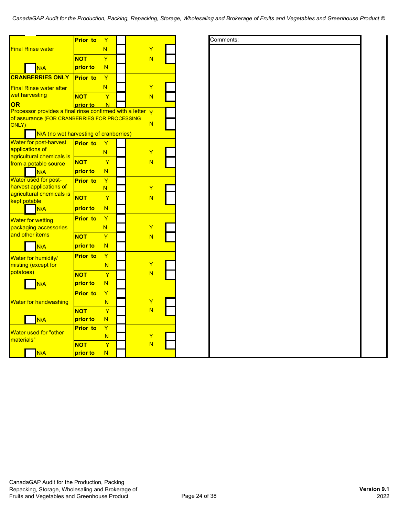|                                                                       | <b>Prior to</b> | Y      |  |                         |  | Comments: |
|-----------------------------------------------------------------------|-----------------|--------|--|-------------------------|--|-----------|
| <b>Final Rinse water</b>                                              |                 | N      |  | Ÿ                       |  |           |
|                                                                       | <b>NOT</b>      | Y      |  | N                       |  |           |
| N/A                                                                   | prior to        | N      |  |                         |  |           |
| <b>CRANBERRIES ONLY</b>                                               | <b>Prior to</b> | Ÿ      |  |                         |  |           |
|                                                                       |                 |        |  | Ÿ                       |  |           |
| <b>Final Rinse water after</b><br>wet harvesting                      |                 | N      |  |                         |  |           |
|                                                                       | <b>NOT</b>      | Ÿ      |  | N                       |  |           |
| <b>OR</b><br>Processor provides a final rinse confirmed with a letter | prior to        | N      |  | $\overline{\mathsf{Y}}$ |  |           |
| of assurance (FOR CRANBERRIES FOR PROCESSING                          |                 |        |  |                         |  |           |
| ONLY)                                                                 |                 |        |  | N                       |  |           |
| N/A (no wet harvesting of cranberries)                                |                 |        |  |                         |  |           |
| Water for post-harvest                                                | <b>Prior</b> to | Ÿ      |  |                         |  |           |
| applications of                                                       |                 | N      |  | Ÿ                       |  |           |
| agricultural chemicals is                                             | <b>NOT</b>      | Ÿ      |  | N                       |  |           |
| from a potable source                                                 | prior to        | N      |  |                         |  |           |
| N/A<br>Water used for post-                                           |                 |        |  |                         |  |           |
| harvest applications of                                               | <b>Prior to</b> | Ÿ<br>N |  | Y                       |  |           |
| agricultural chemicals is                                             |                 |        |  |                         |  |           |
| kept potable                                                          | <b>NOT</b>      | Ÿ      |  | N                       |  |           |
| N/A                                                                   | prior to        | N      |  |                         |  |           |
| <b>Water for wetting</b>                                              | <b>Prior to</b> | Y      |  |                         |  |           |
| packaging accessories                                                 |                 | N      |  | Y                       |  |           |
| and other items                                                       | <b>NOT</b>      | Y      |  | N                       |  |           |
| N/A                                                                   | prior to        | N      |  |                         |  |           |
|                                                                       | <b>Prior</b> to | Ÿ      |  |                         |  |           |
| Water for humidity/                                                   |                 |        |  | Y                       |  |           |
| misting (except for<br>potatoes)                                      |                 | N      |  |                         |  |           |
|                                                                       | <b>NOT</b>      | Ÿ      |  | N                       |  |           |
| N/A                                                                   | prior to        | N      |  |                         |  |           |
|                                                                       | <b>Prior to</b> | Y      |  |                         |  |           |
| Water for handwashing                                                 |                 | N      |  | Y                       |  |           |
|                                                                       | <b>NOT</b>      | Ÿ      |  | N                       |  |           |
| N/A                                                                   | prior to        | N      |  |                         |  |           |
|                                                                       | <b>Prior to</b> | Ÿ      |  |                         |  |           |
| Water used for "other<br>materials"                                   |                 | N      |  | Y                       |  |           |
|                                                                       | <b>NOT</b>      | Ÿ      |  | N                       |  |           |
| N/A                                                                   | prior to        | N      |  |                         |  |           |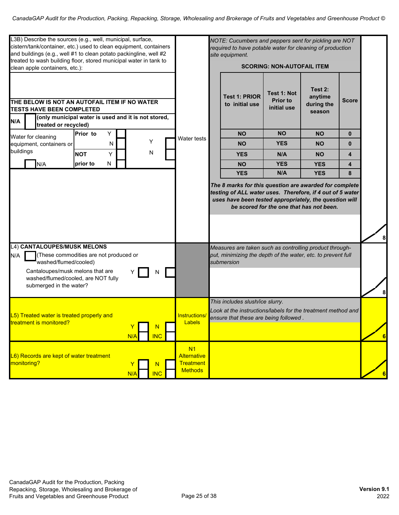| L3B) Describe the sources (e.g., well, municipal, surface,<br>cistern/tank/container, etc.) used to clean equipment, containers<br>and buildings (e.g., well #1 to clean potato packingline, well #2<br>treated to wash building floor, stored municipal water in tank to<br>clean apple containers, etc.): |                                                                                                           |                                                     |          |                 | NOTE: Cucumbers and peppers sent for pickling are NOT<br>required to have potable water for cleaning of production<br>site equipment.<br><b>SCORING: NON-AUTOFAIL ITEM</b> |  |                                                                                                                                          |                                               |                                            |              |  |
|-------------------------------------------------------------------------------------------------------------------------------------------------------------------------------------------------------------------------------------------------------------------------------------------------------------|-----------------------------------------------------------------------------------------------------------|-----------------------------------------------------|----------|-----------------|----------------------------------------------------------------------------------------------------------------------------------------------------------------------------|--|------------------------------------------------------------------------------------------------------------------------------------------|-----------------------------------------------|--------------------------------------------|--------------|--|
| N/A                                                                                                                                                                                                                                                                                                         | THE BELOW IS NOT AN AUTOFAIL ITEM IF NO WATER<br><b>TESTS HAVE BEEN COMPLETED</b><br>treated or recycled) | (only municipal water is used and it is not stored, |          |                 |                                                                                                                                                                            |  | <b>Test 1: PRIOR</b><br>to initial use                                                                                                   | Test 1: Not<br><b>Prior to</b><br>initial use | Test 2:<br>anytime<br>during the<br>season | <b>Score</b> |  |
|                                                                                                                                                                                                                                                                                                             |                                                                                                           | Y<br>Prior to                                       |          |                 |                                                                                                                                                                            |  | <b>NO</b>                                                                                                                                | <b>NO</b>                                     | <b>NO</b>                                  | $\bf{0}$     |  |
|                                                                                                                                                                                                                                                                                                             | Water for cleaning<br>equipment, containers or                                                            | N                                                   |          | Υ               | Water tests                                                                                                                                                                |  | <b>NO</b>                                                                                                                                | <b>YES</b>                                    | <b>NO</b>                                  | $\bf{0}$     |  |
| buildings                                                                                                                                                                                                                                                                                                   |                                                                                                           | <b>NOT</b><br>Υ                                     |          | N               |                                                                                                                                                                            |  | <b>YES</b>                                                                                                                               | N/A                                           | <b>NO</b>                                  | 4            |  |
|                                                                                                                                                                                                                                                                                                             | N/A                                                                                                       | prior to<br>N                                       |          |                 |                                                                                                                                                                            |  | <b>NO</b>                                                                                                                                | <b>YES</b>                                    | <b>YES</b>                                 | 4            |  |
|                                                                                                                                                                                                                                                                                                             |                                                                                                           |                                                     |          |                 |                                                                                                                                                                            |  | <b>YES</b>                                                                                                                               | N/A                                           | <b>YES</b>                                 | 8            |  |
| N/A                                                                                                                                                                                                                                                                                                         | L4) CANTALOUPES/MUSK MELONS<br>washed/flumed/cooled)                                                      | (These commodities are not produced or              |          |                 |                                                                                                                                                                            |  | Measures are taken such as controlling product through-<br>put, minimizing the depth of the water, etc. to prevent full<br>submersion    |                                               |                                            |              |  |
|                                                                                                                                                                                                                                                                                                             | Cantaloupes/musk melons that are<br>washed/flumed/cooled, are NOT fully<br>submerged in the water?        |                                                     |          | N               |                                                                                                                                                                            |  |                                                                                                                                          |                                               |                                            |              |  |
|                                                                                                                                                                                                                                                                                                             | L5) Treated water is treated properly and<br><b>Itreatment is monitored?</b>                              |                                                     | Y<br>N/A | N<br><b>INC</b> | Instructions/<br>Labels                                                                                                                                                    |  | This includes slush/ice slurry.<br>Look at the instructions/labels for the treatment method and<br>ensure that these are being followed. |                                               |                                            |              |  |
|                                                                                                                                                                                                                                                                                                             | L6) Records are kept of water treatment<br>monitoring?                                                    |                                                     | N/A      | N<br><b>INC</b> | N <sub>1</sub><br>Alternative<br>Treatment<br><b>Methods</b>                                                                                                               |  |                                                                                                                                          |                                               |                                            |              |  |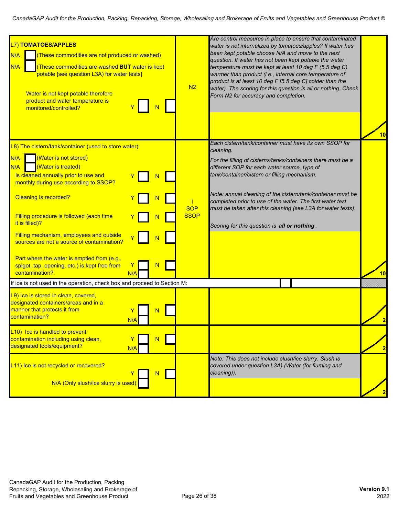| L7) TOMATOES/APPLES<br>(These commodities are not produced or washed)<br>N/A<br>(These commodities are washed <b>BUT</b> water is kept<br>N/A<br>potable [see question L3A) for water tests]<br>Water is not kept potable therefore<br>product and water temperature is<br>monitored/controlled?                                                                                                                                                                                                                   | N <sub>2</sub>            | Are control measures in place to ensure that contaminated<br>water is not internalized by tomatoes/apples? If water has<br>been kept potable choose N/A and move to the next<br>question. If water has not been kept potable the water<br>temperature must be kept at least 10 deg F (5.5 deg C)<br>warmer than product (i.e., internal core temperature of<br>product is at least 10 deg F [5.5 deg C] colder than the<br>water). The scoring for this question is all or nothing. Check<br>Form N2 for accuracy and completion. |                 |
|--------------------------------------------------------------------------------------------------------------------------------------------------------------------------------------------------------------------------------------------------------------------------------------------------------------------------------------------------------------------------------------------------------------------------------------------------------------------------------------------------------------------|---------------------------|-----------------------------------------------------------------------------------------------------------------------------------------------------------------------------------------------------------------------------------------------------------------------------------------------------------------------------------------------------------------------------------------------------------------------------------------------------------------------------------------------------------------------------------|-----------------|
| L8) The cistern/tank/container (used to store water):<br>(Water is not stored)<br>N/A<br>(Water is treated)<br>N/A<br>Is cleaned annually prior to use and<br>monthly during use according to SSOP?<br><b>Cleaning is recorded?</b><br>Filling procedure is followed (each time<br>it is filled)?<br>Filling mechanism, employees and outside<br>sources are not a source of contamination?<br>Part where the water is emptied from (e.g.,<br>N<br>spigot, tap, opening, etc.) is kept free from<br>contamination? | <b>SOP</b><br><b>SSOP</b> | Each cistern/tank/container must have its own SSOP for<br>cleaning.<br>For the filling of cisterns/tanks/containers there must be a<br>different SOP for each water source, type of<br>tank/container/cistern or filling mechanism.<br>Note: annual cleaning of the cistern/tank/container must be<br>completed prior to use of the water. The first water test<br>must be taken after this cleaning (see L3A for water tests).<br>Scoring for this question is all or nothing.                                                   | 10 <sub>l</sub> |
| N/A<br>If ice is not used in the operation, check box and proceed to Section M:                                                                                                                                                                                                                                                                                                                                                                                                                                    |                           |                                                                                                                                                                                                                                                                                                                                                                                                                                                                                                                                   | 10              |
| L9) Ice is stored in clean, covered,<br>designated containers/areas and in a<br>manner that protects it from<br>N<br>contamination?<br>N/A<br>L10) Ice is handled to prevent                                                                                                                                                                                                                                                                                                                                       |                           |                                                                                                                                                                                                                                                                                                                                                                                                                                                                                                                                   | $\overline{2}$  |
| contamination including using clean,<br>N<br>designated tools/equipment?<br>N/A                                                                                                                                                                                                                                                                                                                                                                                                                                    |                           |                                                                                                                                                                                                                                                                                                                                                                                                                                                                                                                                   | $\overline{2}$  |
| L11) Ice is not recycled or recovered?<br>N<br>N/A (Only slush/ice slurry is used)                                                                                                                                                                                                                                                                                                                                                                                                                                 |                           | Note: This does not include slush/ice slurry. Slush is<br>covered under question L3A) (Water (for fluming and<br>cleaning)).                                                                                                                                                                                                                                                                                                                                                                                                      | $\overline{2}$  |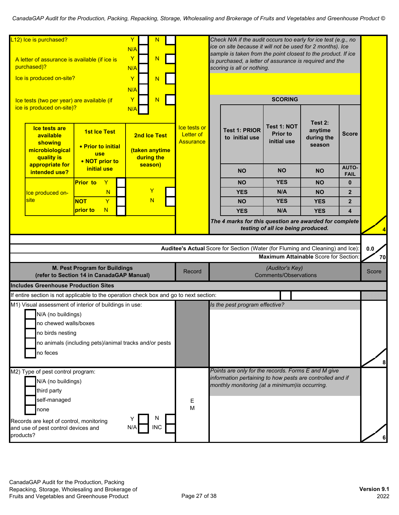| L12) Ice is purchased?<br>Y<br>N<br>N/A<br>Y<br>N<br>A letter of assurance is available (if ice is<br>purchased)?<br>N/A<br>Ice is produced on-site?<br>Y<br>N<br>N/A |                                                                            |     |                                              | Check N/A if the audit occurs too early for ice test (e.g., no<br>ice on site because it will not be used for 2 months). Ice<br>sample is taken from the point closest to the product. If ice<br>is purchased, a letter of assurance is required and the<br>scoring is all or nothing. |                                                                                                                                                                     |                                                                                                                                          |                                                                             |                                            |                             |                                      |
|-----------------------------------------------------------------------------------------------------------------------------------------------------------------------|----------------------------------------------------------------------------|-----|----------------------------------------------|----------------------------------------------------------------------------------------------------------------------------------------------------------------------------------------------------------------------------------------------------------------------------------------|---------------------------------------------------------------------------------------------------------------------------------------------------------------------|------------------------------------------------------------------------------------------------------------------------------------------|-----------------------------------------------------------------------------|--------------------------------------------|-----------------------------|--------------------------------------|
| Ice tests (two per year) are available (if<br>ice is produced on-site)?                                                                                               |                                                                            | Y   | N                                            |                                                                                                                                                                                                                                                                                        |                                                                                                                                                                     |                                                                                                                                          | <b>SCORING</b>                                                              |                                            |                             |                                      |
| <b>Ice tests are</b><br>available<br>showing<br>microbiological<br>quality is                                                                                         | <b>1st Ice Test</b><br>• Prior to initial<br><b>use</b><br>• NOT prior to  | N/A | 2nd Ice Test<br>(taken anytime<br>during the |                                                                                                                                                                                                                                                                                        | Ice tests or<br>Letter of<br>Assurance                                                                                                                              | <b>Test 1: PRIOR</b><br>to initial use                                                                                                   | <b>Test 1: NOT</b><br><b>Prior to</b><br>initial use                        | Test 2:<br>anytime<br>during the<br>season | Score                       |                                      |
| appropriate for<br>intended use?                                                                                                                                      | initial use                                                                |     | season)                                      |                                                                                                                                                                                                                                                                                        |                                                                                                                                                                     | <b>NO</b>                                                                                                                                | <b>NO</b>                                                                   | <b>NO</b>                                  | <b>AUTO-</b><br><b>FAIL</b> |                                      |
|                                                                                                                                                                       | <b>Prior</b> to<br>Y                                                       |     |                                              |                                                                                                                                                                                                                                                                                        |                                                                                                                                                                     | <b>NO</b>                                                                                                                                | <b>YES</b>                                                                  | <b>NO</b>                                  | $\bf{0}$                    |                                      |
| Ice produced on-                                                                                                                                                      | N                                                                          |     | Y                                            |                                                                                                                                                                                                                                                                                        |                                                                                                                                                                     | <b>YES</b>                                                                                                                               | N/A                                                                         | <b>NO</b>                                  | $\mathbf{2}$                |                                      |
| site                                                                                                                                                                  | Ÿ<br><b>NOT</b>                                                            |     | N                                            |                                                                                                                                                                                                                                                                                        |                                                                                                                                                                     | <b>NO</b>                                                                                                                                | <b>YES</b>                                                                  | <b>YES</b>                                 | $\overline{2}$              |                                      |
|                                                                                                                                                                       | N<br>prior to                                                              |     |                                              |                                                                                                                                                                                                                                                                                        |                                                                                                                                                                     | <b>YES</b>                                                                                                                               | N/A                                                                         | <b>YES</b>                                 | 4                           |                                      |
|                                                                                                                                                                       |                                                                            |     |                                              |                                                                                                                                                                                                                                                                                        |                                                                                                                                                                     | The 4 marks for this question are awarded for complete<br>Auditee's Actual Score for Section (Water (for Fluming and Cleaning) and Ice): | testing of all ice being produced.<br>Maximum Attainable Score for Section: |                                            |                             | $\overline{\mathbf{A}}$<br>0.0<br>70 |
|                                                                                                                                                                       | M. Pest Program for Buildings<br>(refer to Section 14 in CanadaGAP Manual) |     |                                              |                                                                                                                                                                                                                                                                                        | Record                                                                                                                                                              |                                                                                                                                          | (Auditor's Key)<br><b>Comments/Observations</b>                             |                                            |                             | Score                                |
| <b>Includes Greenhouse Production Sites</b>                                                                                                                           |                                                                            |     |                                              |                                                                                                                                                                                                                                                                                        |                                                                                                                                                                     |                                                                                                                                          |                                                                             |                                            |                             |                                      |
| If entire section is not applicable to the operation check box and go to next section:                                                                                |                                                                            |     |                                              |                                                                                                                                                                                                                                                                                        |                                                                                                                                                                     |                                                                                                                                          |                                                                             |                                            |                             |                                      |
| M1) Visual assessment of interior of buildings in use:<br>N/A (no buildings)                                                                                          |                                                                            |     |                                              |                                                                                                                                                                                                                                                                                        |                                                                                                                                                                     | Is the pest program effective?                                                                                                           |                                                                             |                                            |                             |                                      |
| no chewed walls/boxes<br>no birds nesting<br>no animals (including pets)/animal tracks and/or pests<br>no feces                                                       |                                                                            |     |                                              |                                                                                                                                                                                                                                                                                        |                                                                                                                                                                     |                                                                                                                                          |                                                                             |                                            | 8                           |                                      |
| M2) Type of pest control program:<br>N/A (no buildings)<br>third party<br>self-managed<br>none                                                                        |                                                                            |     |                                              | Ε<br>M                                                                                                                                                                                                                                                                                 | Points are only for the records. Forms E and M give<br>information pertaining to how pests are controlled and if<br>monthly monitoring (at a minimum) is occurring. |                                                                                                                                          |                                                                             |                                            |                             |                                      |
| Records are kept of control, monitoring<br><b>INC</b><br>N/A<br>and use of pest control devices and<br>products?                                                      |                                                                            |     |                                              |                                                                                                                                                                                                                                                                                        |                                                                                                                                                                     |                                                                                                                                          |                                                                             |                                            |                             |                                      |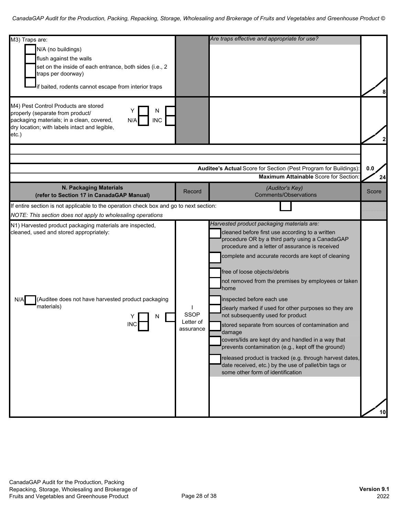| M3) Traps are:<br>N/A (no buildings)<br>flush against the walls<br>set on the inside of each entrance, both sides (i.e., 2<br>traps per doorway)<br>if baited, rodents cannot escape from interior traps     |                                       | Are traps effective and appropriate for use?                                                                                                                                                                                                                                                                                                                                                                                                                                                                                                                                                                                                                                                                                                                                                                             |       |
|--------------------------------------------------------------------------------------------------------------------------------------------------------------------------------------------------------------|---------------------------------------|--------------------------------------------------------------------------------------------------------------------------------------------------------------------------------------------------------------------------------------------------------------------------------------------------------------------------------------------------------------------------------------------------------------------------------------------------------------------------------------------------------------------------------------------------------------------------------------------------------------------------------------------------------------------------------------------------------------------------------------------------------------------------------------------------------------------------|-------|
| M4) Pest Control Products are stored<br>N<br>properly (separate from product/<br>packaging materials; in a clean, covered,<br><b>INC</b><br>N/A<br>dry location; with labels intact and legible,<br>$etc.$ ) |                                       |                                                                                                                                                                                                                                                                                                                                                                                                                                                                                                                                                                                                                                                                                                                                                                                                                          |       |
|                                                                                                                                                                                                              |                                       |                                                                                                                                                                                                                                                                                                                                                                                                                                                                                                                                                                                                                                                                                                                                                                                                                          |       |
|                                                                                                                                                                                                              |                                       | Auditee's Actual Score for Section (Pest Program for Buildings):                                                                                                                                                                                                                                                                                                                                                                                                                                                                                                                                                                                                                                                                                                                                                         | 0.0   |
|                                                                                                                                                                                                              |                                       | <b>Maximum Attainable Score for Section</b>                                                                                                                                                                                                                                                                                                                                                                                                                                                                                                                                                                                                                                                                                                                                                                              | 24    |
| N. Packaging Materials<br>(refer to Section 17 in CanadaGAP Manual)                                                                                                                                          | Record                                | (Auditor's Key)<br><b>Comments/Observations</b>                                                                                                                                                                                                                                                                                                                                                                                                                                                                                                                                                                                                                                                                                                                                                                          | Score |
| If entire section is not applicable to the operation check box and go to next section:                                                                                                                       |                                       |                                                                                                                                                                                                                                                                                                                                                                                                                                                                                                                                                                                                                                                                                                                                                                                                                          |       |
| NOTE: This section does not apply to wholesaling operations                                                                                                                                                  |                                       |                                                                                                                                                                                                                                                                                                                                                                                                                                                                                                                                                                                                                                                                                                                                                                                                                          |       |
| N1) Harvested product packaging materials are inspected,<br>cleaned, used and stored appropriately:<br>(Auditee does not have harvested product packaging<br>N/A<br>materials)<br>N<br><b>INC</b>            | <b>SSOP</b><br>Letter of<br>assurance | Harvested product packaging materials are:<br>cleaned before first use according to a written<br>procedure OR by a third party using a CanadaGAP<br>procedure and a letter of assurance is received<br>complete and accurate records are kept of cleaning<br>free of loose objects/debris<br>not removed from the premises by employees or taken<br>home<br>inspected before each use<br>clearly marked if used for other purposes so they are<br>not subsequently used for product<br>stored separate from sources of contamination and<br>damage<br>covers/lids are kept dry and handled in a way that<br>prevents contamination (e.g., kept off the ground)<br>released product is tracked (e.g. through harvest dates,<br>date received, etc.) by the use of pallet/bin tags or<br>some other form of identification | 10    |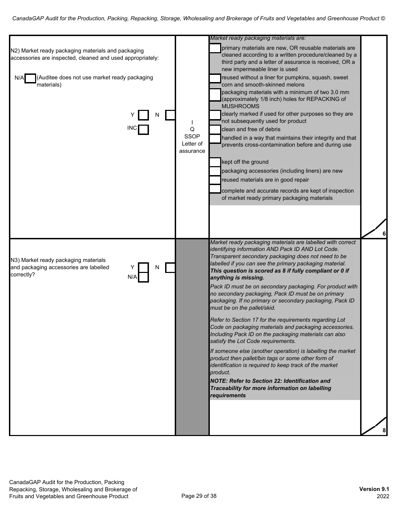| N2) Market ready packaging materials and packaging<br>accessories are inspected, cleaned and used appropriately:<br>(Auditee does not use market ready packaging<br>N/A<br>materials) | Q<br>SSOP<br>Letter of<br>assurance | Market ready packaging materials are:<br>primary materials are new, OR reusable materials are<br>cleaned according to a written procedure/cleaned by a<br>third party and a letter of assurance is received, OR a<br>new impermeable liner is used<br>reused without a liner for pumpkins, squash, sweet<br>corn and smooth-skinned melons<br>packaging materials with a minimum of two 3.0 mm<br>(approximately 1/8 inch) holes for REPACKING of<br><b>MUSHROOMS</b><br>clearly marked if used for other purposes so they are<br>not subsequently used for product<br>clean and free of debris<br>handled in a way that maintains their integrity and that<br>prevents cross-contamination before and during use<br>kept off the ground<br>packaging accessories (including liners) are new<br>reused materials are in good repair<br>complete and accurate records are kept of inspection<br>of market ready primary packaging materials                                                                                                                                | 6 |
|---------------------------------------------------------------------------------------------------------------------------------------------------------------------------------------|-------------------------------------|---------------------------------------------------------------------------------------------------------------------------------------------------------------------------------------------------------------------------------------------------------------------------------------------------------------------------------------------------------------------------------------------------------------------------------------------------------------------------------------------------------------------------------------------------------------------------------------------------------------------------------------------------------------------------------------------------------------------------------------------------------------------------------------------------------------------------------------------------------------------------------------------------------------------------------------------------------------------------------------------------------------------------------------------------------------------------|---|
| N3) Market ready packaging materials<br>and packaging accessories are labelled<br>N<br>correctly?<br>N/A                                                                              |                                     | Market ready packaging materials are labelled with correct<br>identifying information AND Pack ID AND Lot Code.<br>Transparent secondary packaging does not need to be<br>labelled if you can see the primary packaging material.<br>This question is scored as 8 if fully compliant or 0 if<br>anything is missing.<br>Pack ID must be on secondary packaging. For product with<br>no secondary packaging, Pack ID must be on primary<br>packaging. If no primary or secondary packaging, Pack ID<br>must be on the pallet/skid.<br>Refer to Section 17 for the requirements regarding Lot<br>Code on packaging materials and packaging accessories.<br>Including Pack ID on the packaging materials can also<br>satisfy the Lot Code requirements.<br>If someone else (another operation) is labelling the market<br>product then pallet/bin tags or some other form of<br>identification is required to keep track of the market<br>product.<br><b>NOTE: Refer to Section 22: Identification and</b><br>Traceability for more information on labelling<br>requirements |   |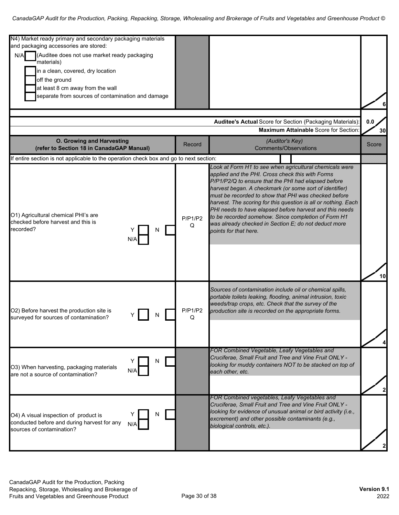| N4) Market ready primary and secondary packaging materials<br>and packaging accessories are stored:                    |              |                                                                                                                                                                                                                                                                                                                                                                                                                                                                                                                                                            |       |
|------------------------------------------------------------------------------------------------------------------------|--------------|------------------------------------------------------------------------------------------------------------------------------------------------------------------------------------------------------------------------------------------------------------------------------------------------------------------------------------------------------------------------------------------------------------------------------------------------------------------------------------------------------------------------------------------------------------|-------|
| (Auditee does not use market ready packaging<br>N/A<br>materials)                                                      |              |                                                                                                                                                                                                                                                                                                                                                                                                                                                                                                                                                            |       |
| in a clean, covered, dry location                                                                                      |              |                                                                                                                                                                                                                                                                                                                                                                                                                                                                                                                                                            |       |
| off the ground                                                                                                         |              |                                                                                                                                                                                                                                                                                                                                                                                                                                                                                                                                                            |       |
| at least 8 cm away from the wall                                                                                       |              |                                                                                                                                                                                                                                                                                                                                                                                                                                                                                                                                                            |       |
| separate from sources of contamination and damage                                                                      |              |                                                                                                                                                                                                                                                                                                                                                                                                                                                                                                                                                            |       |
|                                                                                                                        |              |                                                                                                                                                                                                                                                                                                                                                                                                                                                                                                                                                            |       |
|                                                                                                                        |              | Auditee's Actual Score for Section (Packaging Materials):                                                                                                                                                                                                                                                                                                                                                                                                                                                                                                  | 0.0   |
|                                                                                                                        |              | <b>Maximum Attainable Score for Section</b>                                                                                                                                                                                                                                                                                                                                                                                                                                                                                                                | 30    |
| O. Growing and Harvesting<br>(refer to Section 18 in CanadaGAP Manual)                                                 | Record       | (Auditor's Key)<br><b>Comments/Observations</b>                                                                                                                                                                                                                                                                                                                                                                                                                                                                                                            | Score |
| If entire section is not applicable to the operation check box and go to next section:                                 |              |                                                                                                                                                                                                                                                                                                                                                                                                                                                                                                                                                            |       |
| O1) Agricultural chemical PHI's are<br>checked before harvest and this is<br>recorded?<br>N                            | P/P1/P2<br>Q | Look at Form H1 to see when agricultural chemicals were<br>applied and the PHI. Cross check this with Forms<br>P/P1/P2/Q to ensure that the PHI had elapsed before<br>harvest began. A checkmark (or some sort of identifier)<br>must be recorded to show that PHI was checked before<br>harvest. The scoring for this question is all or nothing. Each<br>PHI needs to have elapsed before harvest and this needs<br>to be recorded somehow. Since completion of Form H1<br>was already checked in Section E; do not deduct more<br>points for that here. | 10    |
| O2) Before harvest the production site is<br>N<br>surveyed for sources of contamination?                               | P/P1/P2<br>Q | Sources of contamination include oil or chemical spills,<br>portable toilets leaking, flooding, animal intrusion, toxic<br>weeds/trap crops, etc. Check that the survey of the<br>production site is recorded on the appropriate forms.                                                                                                                                                                                                                                                                                                                    |       |
| N<br>O3) When harvesting, packaging materials<br>N/A<br>are not a source of contamination?                             |              | FOR Combined Vegetable, Leafy Vegetables and<br>Cruciferae, Small Fruit and Tree and Vine Fruit ONLY -<br>looking for muddy containers NOT to be stacked on top of<br>each other, etc.                                                                                                                                                                                                                                                                                                                                                                     |       |
| N<br>O4) A visual inspection of product is<br>conducted before and during harvest for any<br>sources of contamination? |              | FOR Combined vegetables, Leafy Vegetables and<br>Cruciferae, Small Fruit and Tree and Vine Fruit ONLY -<br>looking for evidence of unusual animal or bird activity (i.e.,<br>excrement) and other possible contaminants (e.g.,<br>biological controls, etc.).                                                                                                                                                                                                                                                                                              |       |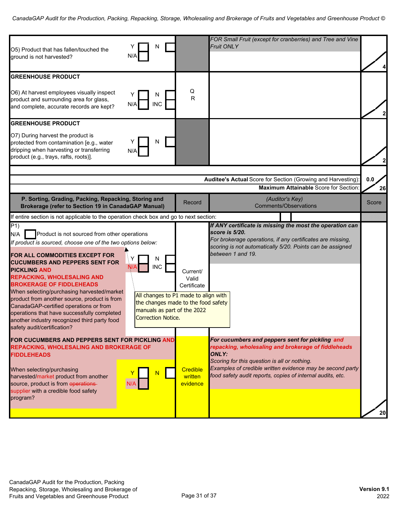| O5) Product that has fallen/touched the<br>N/A<br>ground is not harvested?                                                                                                                                                                                                                                                                                                                                                                                                                                                                                                                                                                                                                           | N                                                                                                                                                                           | FOR Small Fruit (except for cranberries) and Tree and Vine<br><b>Fruit ONLY</b>                                                                                                                                                                                                                   |                    |
|------------------------------------------------------------------------------------------------------------------------------------------------------------------------------------------------------------------------------------------------------------------------------------------------------------------------------------------------------------------------------------------------------------------------------------------------------------------------------------------------------------------------------------------------------------------------------------------------------------------------------------------------------------------------------------------------------|-----------------------------------------------------------------------------------------------------------------------------------------------------------------------------|---------------------------------------------------------------------------------------------------------------------------------------------------------------------------------------------------------------------------------------------------------------------------------------------------|--------------------|
| <b>GREENHOUSE PRODUCT</b><br>O6) At harvest employees visually inspect<br>product and surrounding area for glass,<br><b>INC</b><br>and complete, accurate records are kept?                                                                                                                                                                                                                                                                                                                                                                                                                                                                                                                          | Q<br>${\sf R}$                                                                                                                                                              |                                                                                                                                                                                                                                                                                                   |                    |
| <b>GREENHOUSE PRODUCT</b><br>O7) During harvest the product is<br>protected from contamination [e.g., water<br>dripping when harvesting or transferring<br>N/A<br>product (e.g., trays, rafts, roots)].                                                                                                                                                                                                                                                                                                                                                                                                                                                                                              | N                                                                                                                                                                           |                                                                                                                                                                                                                                                                                                   |                    |
| P. Sorting, Grading, Packing, Repacking, Storing and<br><b>Brokerage (refer to Section 19 in CanadaGAP Manual)</b>                                                                                                                                                                                                                                                                                                                                                                                                                                                                                                                                                                                   | Record                                                                                                                                                                      | Auditee's Actual Score for Section (Growing and Harvesting)<br><b>Maximum Attainable Score for Section</b><br>(Auditor's Key)<br><b>Comments/Observations</b>                                                                                                                                     | 0.0<br>26<br>Score |
| If entire section is not applicable to the operation check box and go to next section:<br>$\overline{P}$ 1)<br>Product is not sourced from other operations<br>N/A<br>If product is sourced, choose one of the two options below:<br>FOR ALL COMMODITIES EXCEPT FOR<br>N<br><b>CUCUMBERS AND PEPPERS SENT FOR</b><br><b>INC</b><br><b>PICKLING AND</b><br><b>REPACKING, WHOLESALING AND</b><br><b>BROKERAGE OF FIDDLEHEADS</b><br>When selecting/purchasing harvested/market<br>product from another source, product is from<br>CanadaGAP-certified operations or from<br>operations that have successfully completed<br>another industry recognized third party food<br>safety audit/certification? | Current/<br>Valid<br>Certificate<br>All changes to P1 made to align with<br>the changes made to the food safety<br>manuals as part of the 2022<br><b>Correction Notice.</b> | If ANY certificate is missing the most the operation can<br>score is 5/20.<br>For brokerage operations, if any certificates are missing,<br>scoring is not automatically 5/20. Points can be assigned<br>between 1 and 19.                                                                        |                    |
| FOR CUCUMBERS AND PEPPERS SENT FOR PICKLING AND<br><b>REPACKING, WHOLESALING AND BROKERAGE OF</b><br><b>FIDDLEHEADS</b><br>When selecting/purchasing<br>harvested/market product from another<br>source, product is from operations-<br>N/A<br>supplier with a credible food safety<br>program?                                                                                                                                                                                                                                                                                                                                                                                                      | <b>Credible</b><br>written<br>evidence                                                                                                                                      | For cucumbers and peppers sent for pickling and<br>repacking, wholesaling and brokerage of fiddleheads<br><b>ONLY:</b><br>Scoring for this question is all or nothing.<br>Examples of credible written evidence may be second party<br>food safety audit reports, copies of internal audits, etc. | 20                 |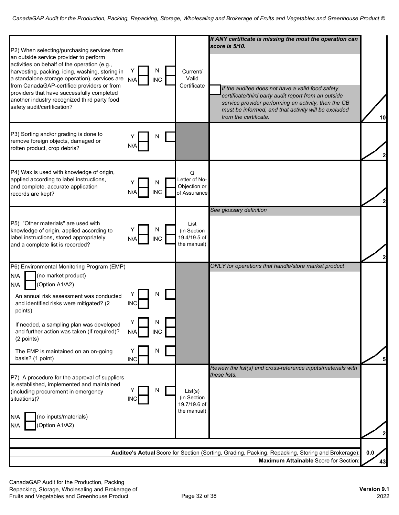| P2) When selecting/purchasing services from                                                                                                                                                                                                                                                                                                                             |                          |                      |                                                       | If ANY certificate is missing the most the operation can<br>score is 5/10.                                                                                                                                                                        |              |
|-------------------------------------------------------------------------------------------------------------------------------------------------------------------------------------------------------------------------------------------------------------------------------------------------------------------------------------------------------------------------|--------------------------|----------------------|-------------------------------------------------------|---------------------------------------------------------------------------------------------------------------------------------------------------------------------------------------------------------------------------------------------------|--------------|
| an outside service provider to perform<br>activities on behalf of the operation (e.g.,<br>harvesting, packing, icing, washing, storing in<br>a standalone storage operation), services are<br>from CanadaGAP-certified providers or from<br>providers that have successfully completed<br>another industry recognized third party food<br>safety audit/certification?   | N/A                      | N<br><b>INC</b>      | Current/<br>Valid<br>Certificate                      | If the auditee does not have a valid food safety<br>certificate/third party audit report from an outside<br>service provider performing an activity, then the CB<br>must be informed, and that activity will be excluded<br>from the certificate. | 10           |
| P3) Sorting and/or grading is done to<br>remove foreign objects, damaged or<br>rotten product, crop debris?                                                                                                                                                                                                                                                             |                          | N                    |                                                       |                                                                                                                                                                                                                                                   |              |
| P4) Wax is used with knowledge of origin,<br>applied according to label instructions,<br>and complete, accurate application<br>records are kept?                                                                                                                                                                                                                        | N/A                      | N<br><b>INC</b>      | Q<br>Letter of No-<br>Objection or<br>of Assurance    |                                                                                                                                                                                                                                                   |              |
| P5) "Other materials" are used with<br>knowledge of origin, applied according to<br>label instructions, stored appropriately<br>and a complete list is recorded?                                                                                                                                                                                                        | N/A                      | N<br><b>INC</b>      | List<br>(in Section<br>19.4/19.5 of<br>the manual)    | See glossary definition                                                                                                                                                                                                                           |              |
| P6) Environmental Monitoring Program (EMP)<br>(no market product)<br>N/A<br>(Option A1/A2)<br>N/A<br>An annual risk assessment was conducted<br>and identified risks were mitigated? (2<br>points)<br>If needed, a sampling plan was developed<br>and further action was taken (if required)?<br>(2 points)<br>The EMP is maintained on an on-going<br>basis? (1 point) | INC<br>N/A<br><b>INC</b> | N<br><b>INC</b><br>N |                                                       | ONLY for operations that handle/store market product                                                                                                                                                                                              |              |
| P7) A procedure for the approval of suppliers<br>is established, implemented and maintained<br>(including procurement in emergency<br>situations)?<br>(no inputs/materials)<br>N/A<br>(Option A1/A2)<br>N/A                                                                                                                                                             | <b>INC</b>               | N                    | List(s)<br>(in Section<br>19.7/19.6 of<br>the manual) | Review the list(s) and cross-reference inputs/materials with<br>these lists.                                                                                                                                                                      | $\mathbf{2}$ |
|                                                                                                                                                                                                                                                                                                                                                                         |                          |                      |                                                       | Auditee's Actual Score for Section (Sorting, Grading, Packing, Repacking, Storing and Brokerage):<br>Maximum Attainable Score for Section                                                                                                         | 0.0<br>43    |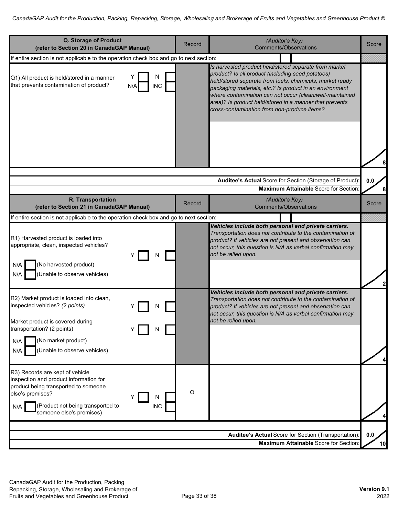| Q. Storage of Product<br>(refer to Section 20 in CanadaGAP Manual)                                                                                                                                                               | Record  | (Auditor's Key)<br><b>Comments/Observations</b>                                                                                                                                                                                                                                                                                                                                                         | Score     |
|----------------------------------------------------------------------------------------------------------------------------------------------------------------------------------------------------------------------------------|---------|---------------------------------------------------------------------------------------------------------------------------------------------------------------------------------------------------------------------------------------------------------------------------------------------------------------------------------------------------------------------------------------------------------|-----------|
| If entire section is not applicable to the operation check box and go to next section:                                                                                                                                           |         |                                                                                                                                                                                                                                                                                                                                                                                                         |           |
| N<br>Q1) All product is held/stored in a manner<br>that prevents contamination of product?<br><b>INC</b><br>N/A                                                                                                                  |         | Is harvested product held/stored separate from market<br>product? Is all product (including seed potatoes)<br>held/stored separate from fuels, chemicals, market ready<br>packaging materials, etc.? Is product in an environment<br>where contamination can not occur (clean/well-maintained<br>area)? Is product held/stored in a manner that prevents<br>cross-contamination from non-produce items? |           |
|                                                                                                                                                                                                                                  |         |                                                                                                                                                                                                                                                                                                                                                                                                         |           |
|                                                                                                                                                                                                                                  |         | Auditee's Actual Score for Section (Storage of Product):<br><b>Maximum Attainable Score for Section</b>                                                                                                                                                                                                                                                                                                 | 0.0<br>8  |
| R. Transportation<br>(refer to Section 21 in CanadaGAP Manual)                                                                                                                                                                   | Record  | (Auditor's Key)<br><b>Comments/Observations</b>                                                                                                                                                                                                                                                                                                                                                         | Score     |
| If entire section is not applicable to the operation check box and go to next section:                                                                                                                                           |         |                                                                                                                                                                                                                                                                                                                                                                                                         |           |
| R1) Harvested product is loaded into<br>appropriate, clean, inspected vehicles?<br>N<br>(No harvested product)<br>N/A<br>Unable to observe vehicles)<br>N/A                                                                      |         | Vehicles include both personal and private carriers.<br>Transportation does not contribute to the contamination of<br>product? If vehicles are not present and observation can<br>not occur, this question is N/A as verbal confirmation may<br>not be relied upon.                                                                                                                                     |           |
| R2) Market product is loaded into clean,<br>inspected vehicles? (2 points)<br>Market product is covered during<br>transportation? (2 points)<br>N<br>(No market product)<br>N/A<br>N/A<br>(Unable to observe vehicles)           |         | Vehicles include both personal and private carriers.<br>Transportation does not contribute to the contamination of<br>product? If vehicles are not present and observation can<br>not occur, this question is N/A as verbal confirmation may<br>not be relied upon.                                                                                                                                     | 4         |
| R3) Records are kept of vehicle<br>inspection and product information for<br>product being transported to someone<br>else's premises?<br>N<br>(Product not being transported to<br><b>INC</b><br>N/A<br>someone else's premises) | $\circ$ |                                                                                                                                                                                                                                                                                                                                                                                                         |           |
|                                                                                                                                                                                                                                  |         | <b>Auditee's Actual Score for Section (Transportation):</b><br>Maximum Attainable Score for Section:                                                                                                                                                                                                                                                                                                    | 0.0<br>10 |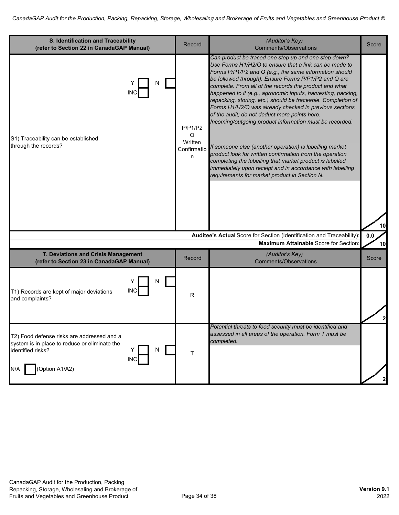| S. Identification and Traceability<br>(refer to Section 22 in CanadaGAP Manual)                                                                              | Record                                      | (Auditor's Key)<br><b>Comments/Observations</b>                                                                                                                                                                                                                                                                                                                                                                                                                                                                                                                                                                                                                                                                                                                                                                                                                                                   | Score     |
|--------------------------------------------------------------------------------------------------------------------------------------------------------------|---------------------------------------------|---------------------------------------------------------------------------------------------------------------------------------------------------------------------------------------------------------------------------------------------------------------------------------------------------------------------------------------------------------------------------------------------------------------------------------------------------------------------------------------------------------------------------------------------------------------------------------------------------------------------------------------------------------------------------------------------------------------------------------------------------------------------------------------------------------------------------------------------------------------------------------------------------|-----------|
| N<br>INC<br>S1) Traceability can be established<br>through the records?                                                                                      | P/P1/P2<br>Q<br>Written<br>Confirmatio<br>n | Can product be traced one step up and one step down?<br>Use Forms H1/H2/O to ensure that a link can be made to<br>Forms P/P1/P2 and Q (e.g., the same information should<br>be followed through). Ensure Forms P/P1/P2 and Q are<br>complete. From all of the records the product and what<br>happened to it (e.g., agronomic inputs, harvesting, packing,<br>repacking, storing, etc.) should be traceable. Completion of<br>Forms H1/H2/O was already checked in previous sections<br>of the audit; do not deduct more points here.<br>Incoming/outgoing product information must be recorded.<br>If someone else (another operation) is labelling market<br>product look for written confirmation from the operation<br>completing the labelling that market product is labelled<br>immediately upon receipt and in accordance with labelling<br>requirements for market product in Section N. |           |
|                                                                                                                                                              |                                             | Auditee's Actual Score for Section (Identification and Traceability)                                                                                                                                                                                                                                                                                                                                                                                                                                                                                                                                                                                                                                                                                                                                                                                                                              | 10<br>0.0 |
|                                                                                                                                                              |                                             | <b>Maximum Attainable Score for Section</b>                                                                                                                                                                                                                                                                                                                                                                                                                                                                                                                                                                                                                                                                                                                                                                                                                                                       | 10        |
| T. Deviations and Crisis Management<br>(refer to Section 23 in CanadaGAP Manual)                                                                             | Record                                      | (Auditor's Key)<br><b>Comments/Observations</b>                                                                                                                                                                                                                                                                                                                                                                                                                                                                                                                                                                                                                                                                                                                                                                                                                                                   | Score     |
| N<br>INC<br>T1) Records are kept of major deviations<br>and complaints?                                                                                      | R                                           |                                                                                                                                                                                                                                                                                                                                                                                                                                                                                                                                                                                                                                                                                                                                                                                                                                                                                                   |           |
| T2) Food defense risks are addressed and a<br>system is in place to reduce or eliminate the<br>identified risks?<br>N<br><b>INC</b><br>(Option A1/A2)<br>N/A | Τ                                           | Potential threats to food security must be identified and<br>assessed in all areas of the operation. Form T must be<br>completed.                                                                                                                                                                                                                                                                                                                                                                                                                                                                                                                                                                                                                                                                                                                                                                 |           |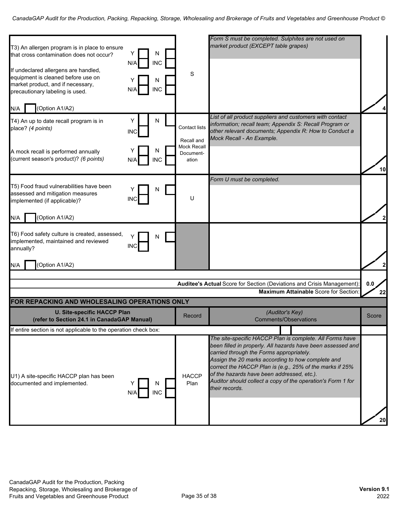| T3) An allergen program is in place to ensure<br>that cross contamination does not occur?<br>If undeclared allergens are handled,<br>equipment is cleaned before use on<br>market product, and if necessary,<br>precautionary labeling is used. | Y<br>N/A<br>N/A | N<br><b>INC</b><br>N<br><b>INC</b> | S                                                        | Form S must be completed. Sulphites are not used on<br>market product (EXCEPT table grapes)                                                                                                                                                                                                                                                                                                                         |           |
|-------------------------------------------------------------------------------------------------------------------------------------------------------------------------------------------------------------------------------------------------|-----------------|------------------------------------|----------------------------------------------------------|---------------------------------------------------------------------------------------------------------------------------------------------------------------------------------------------------------------------------------------------------------------------------------------------------------------------------------------------------------------------------------------------------------------------|-----------|
| (Option A1/A2)<br>N/A                                                                                                                                                                                                                           |                 |                                    |                                                          | List of all product suppliers and customers with contact                                                                                                                                                                                                                                                                                                                                                            |           |
| T4) An up to date recall program is in<br>place? (4 points)                                                                                                                                                                                     | Υ<br><b>INC</b> | N                                  | <b>Contact lists</b><br>Recall and<br><b>Mock Recall</b> | information; recall team; Appendix S: Recall Program or<br>other relevant documents; Appendix R: How to Conduct a<br>Mock Recall - An Example.                                                                                                                                                                                                                                                                      |           |
| A mock recall is performed annually<br>(current season's product)? (6 points)                                                                                                                                                                   | N/A             | N<br><b>INC</b>                    | Document-<br>ation                                       |                                                                                                                                                                                                                                                                                                                                                                                                                     | 10        |
|                                                                                                                                                                                                                                                 |                 |                                    |                                                          | Form U must be completed.                                                                                                                                                                                                                                                                                                                                                                                           |           |
| T5) Food fraud vulnerabilities have been<br>assessed and mitigation measures<br>implemented (if applicable)?                                                                                                                                    | INC             | N                                  | U                                                        |                                                                                                                                                                                                                                                                                                                                                                                                                     |           |
| (Option A1/A2)<br>N/A                                                                                                                                                                                                                           |                 |                                    |                                                          |                                                                                                                                                                                                                                                                                                                                                                                                                     |           |
| T6) Food safety culture is created, assessed,<br>implemented, maintained and reviewed<br>annually?<br>(Option A1/A2)<br>N/A                                                                                                                     | <b>INC</b>      | N                                  |                                                          |                                                                                                                                                                                                                                                                                                                                                                                                                     |           |
|                                                                                                                                                                                                                                                 |                 |                                    |                                                          |                                                                                                                                                                                                                                                                                                                                                                                                                     |           |
|                                                                                                                                                                                                                                                 |                 |                                    |                                                          | Auditee's Actual Score for Section (Deviations and Crisis Management):<br><b>Maximum Attainable Score for Section</b>                                                                                                                                                                                                                                                                                               | 0.0<br>22 |
| FOR REPACKING AND WHOLESALING OPERATIONS ONLY                                                                                                                                                                                                   |                 |                                    |                                                          |                                                                                                                                                                                                                                                                                                                                                                                                                     |           |
| <b>U. Site-specific HACCP Plan</b><br>(refer to Section 24.1 in CanadaGAP Manual)                                                                                                                                                               |                 |                                    | Record                                                   | (Auditor's Key)<br><b>Comments/Observations</b>                                                                                                                                                                                                                                                                                                                                                                     | Score     |
| If entire section is not applicable to the operation check box:                                                                                                                                                                                 |                 |                                    |                                                          |                                                                                                                                                                                                                                                                                                                                                                                                                     |           |
| U1) A site-specific HACCP plan has been<br>documented and implemented.                                                                                                                                                                          |                 | N<br><b>INC</b>                    | <b>HACCP</b><br>Plan                                     | The site-specific HACCP Plan is complete. All Forms have<br>been filled in properly. All hazards have been assessed and<br>carried through the Forms appropriately.<br>Assign the 20 marks according to how complete and<br>correct the HACCP Plan is (e.g., 25% of the marks if 25%<br>of the hazards have been addressed, etc.).<br>Auditor should collect a copy of the operation's Form 1 for<br>their records. | 20        |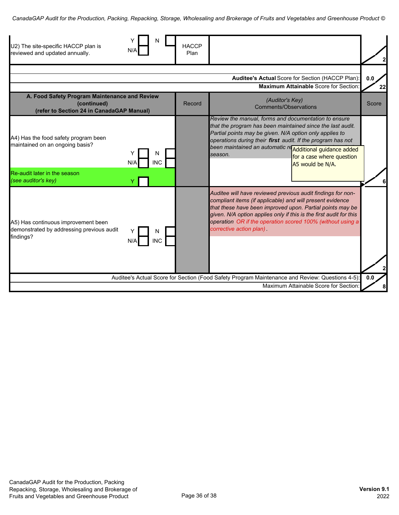| U2) The site-specific HACCP plan is<br>reviewed and updated annually.                                     | N/A                    | <b>HACCP</b><br>Plan |                                                                                                                                                                                                                                                                                                                                                                       |           |
|-----------------------------------------------------------------------------------------------------------|------------------------|----------------------|-----------------------------------------------------------------------------------------------------------------------------------------------------------------------------------------------------------------------------------------------------------------------------------------------------------------------------------------------------------------------|-----------|
|                                                                                                           |                        |                      | Auditee's Actual Score for Section (HACCP Plan):<br><b>Maximum Attainable Score for Section</b>                                                                                                                                                                                                                                                                       | 0.0<br>22 |
| A. Food Safety Program Maintenance and Review<br>(continued)<br>(refer to Section 24 in CanadaGAP Manual) |                        | Record               | (Auditor's Key)<br>Comments/Observations                                                                                                                                                                                                                                                                                                                              | Score     |
| A4) Has the food safety program been<br>maintained on an ongoing basis?                                   | N<br><b>INC</b><br>N/A |                      | Review the manual, forms and documentation to ensure<br>that the program has been maintained since the last audit.<br>Partial points may be given. N/A option only applies to<br>operations during their first audit. If the program has not<br>been maintained an automatic re Additional guidance added<br>season.<br>for a case where question<br>A5 would be N/A. |           |
| Re-audit later in the season<br>(see auditor's key)                                                       |                        |                      |                                                                                                                                                                                                                                                                                                                                                                       |           |
| A5) Has continuous improvement been<br>demonstrated by addressing previous audit<br>findings?             | N<br>INC<br>N/A        |                      | Auditee will have reviewed previous audit findings for non-<br>compliant items (if applicable) and will present evidence<br>that these have been improved upon. Partial points may be<br>given. N/A option applies only if this is the first audit for this<br>operation OR if the operation scored 100% (without using a<br>corrective action plan)                  |           |
|                                                                                                           |                        |                      | Auditee's Actual Score for Section (Food Safety Program Maintenance and Review: Questions 4-5):<br>Maximum Attainable Score for Section                                                                                                                                                                                                                               | 0.0       |
|                                                                                                           |                        |                      |                                                                                                                                                                                                                                                                                                                                                                       |           |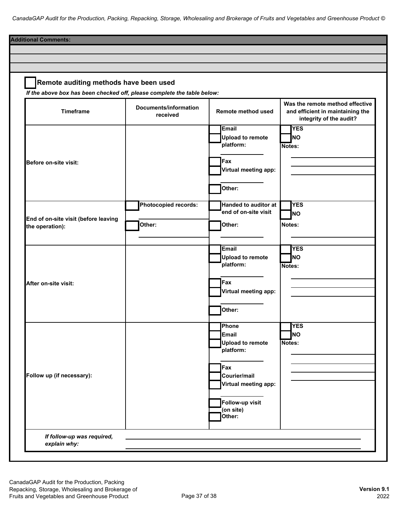| Remote auditing methods have been used<br>If the above box has been checked off, please complete the table below: |                                   |                                                               |                                                                                                |
|-------------------------------------------------------------------------------------------------------------------|-----------------------------------|---------------------------------------------------------------|------------------------------------------------------------------------------------------------|
| <b>Timeframe</b>                                                                                                  | Documents/information<br>received | Remote method used                                            | Was the remote method effective<br>and efficient in maintaining the<br>integrity of the audit? |
| Before on-site visit:                                                                                             |                                   | Email<br><b>Upload to remote</b><br>platform:                 | <b>YES</b><br><b>INO</b><br>Notes:                                                             |
|                                                                                                                   |                                   | Fax<br>Virtual meeting app:                                   |                                                                                                |
| End of on-site visit (before leaving<br>the operation):                                                           | <b>Photocopied records:</b>       | Other:<br><b>Handed to auditor at</b><br>end of on-site visit | <b>YES</b><br><b>NO</b>                                                                        |
|                                                                                                                   | Other:                            | Other:                                                        | Notes:                                                                                         |
| After on-site visit:                                                                                              |                                   | Email<br><b>Upload to remote</b><br>platform:                 | <b>YES</b><br><b>NO</b><br>Notes:                                                              |
|                                                                                                                   |                                   | Fax<br>Virtual meeting app:                                   |                                                                                                |
|                                                                                                                   |                                   | Other:                                                        |                                                                                                |
| Follow up (if necessary):                                                                                         |                                   | Phone<br>Email<br><b>Upload to remote</b><br>platform:        | <b>YES</b><br><b>NO</b><br>Notes:                                                              |
|                                                                                                                   |                                   | Fax<br>Courier/mail<br>Virtual meeting app:                   |                                                                                                |
|                                                                                                                   |                                   | Follow-up visit<br>(on site)<br>Other:                        |                                                                                                |